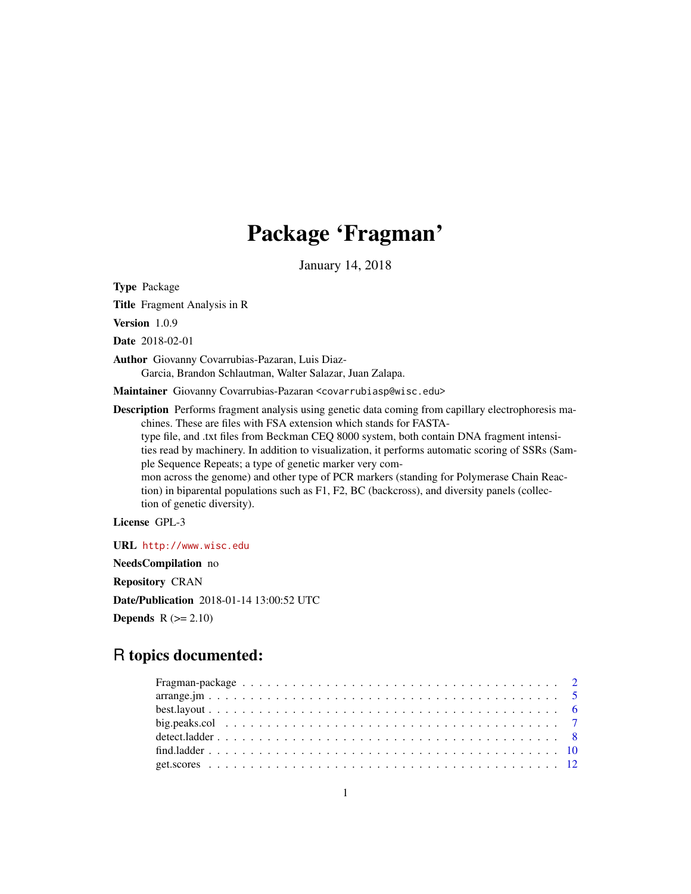# Package 'Fragman'

January 14, 2018

<span id="page-0-0"></span>Type Package

Title Fragment Analysis in R

Version 1.0.9

Date 2018-02-01

Author Giovanny Covarrubias-Pazaran, Luis Diaz-Garcia, Brandon Schlautman, Walter Salazar, Juan Zalapa.

Maintainer Giovanny Covarrubias-Pazaran <covarrubiasp@wisc.edu>

Description Performs fragment analysis using genetic data coming from capillary electrophoresis machines. These are files with FSA extension which stands for FASTAtype file, and .txt files from Beckman CEQ 8000 system, both contain DNA fragment intensities read by machinery. In addition to visualization, it performs automatic scoring of SSRs (Sample Sequence Repeats; a type of genetic marker very common across the genome) and other type of PCR markers (standing for Polymerase Chain Reaction) in biparental populations such as F1, F2, BC (backcross), and diversity panels (collection of genetic diversity).

License GPL-3

URL <http://www.wisc.edu> NeedsCompilation no Repository CRAN Date/Publication 2018-01-14 13:00:52 UTC

**Depends**  $R$  ( $>= 2.10$ )

## R topics documented: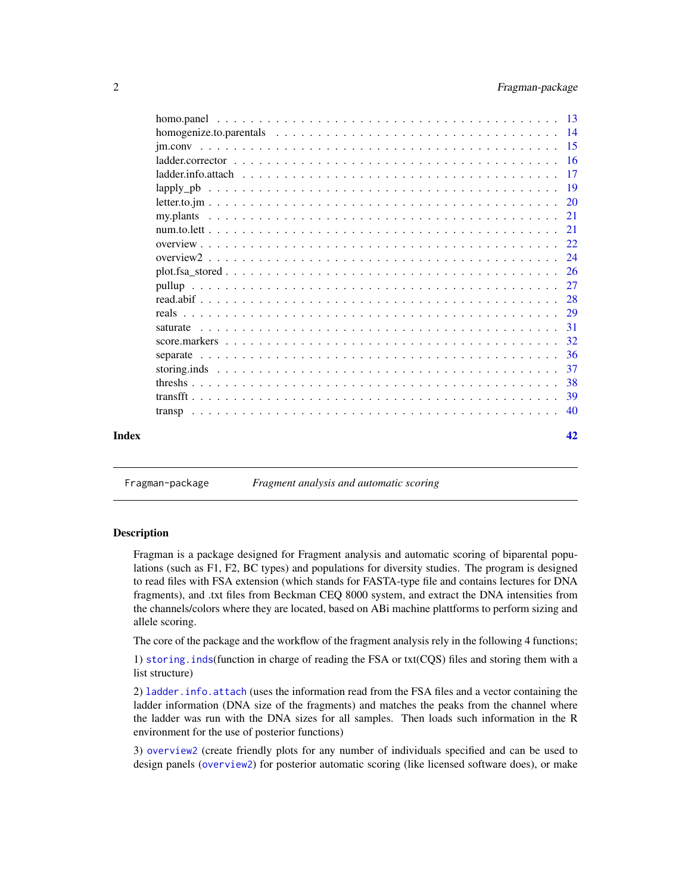<span id="page-1-0"></span>

|       | 32 |
|-------|----|
|       |    |
|       | 37 |
|       |    |
|       |    |
|       |    |
|       |    |
| Index | 42 |

Fragman-package *Fragment analysis and automatic scoring*

## <span id="page-1-1"></span>Description

Fragman is a package designed for Fragment analysis and automatic scoring of biparental populations (such as F1, F2, BC types) and populations for diversity studies. The program is designed to read files with FSA extension (which stands for FASTA-type file and contains lectures for DNA fragments), and .txt files from Beckman CEQ 8000 system, and extract the DNA intensities from the channels/colors where they are located, based on ABi machine plattforms to perform sizing and allele scoring.

The core of the package and the workflow of the fragment analysis rely in the following 4 functions;

1) [storing.inds](#page-36-1)(function in charge of reading the FSA or txt(CQS) files and storing them with a list structure)

2) [ladder.info.attach](#page-16-1) (uses the information read from the FSA files and a vector containing the ladder information (DNA size of the fragments) and matches the peaks from the channel where the ladder was run with the DNA sizes for all samples. Then loads such information in the R environment for the use of posterior functions)

3) [overview2](#page-23-1) (create friendly plots for any number of individuals specified and can be used to design panels ([overview2](#page-23-1)) for posterior automatic scoring (like licensed software does), or make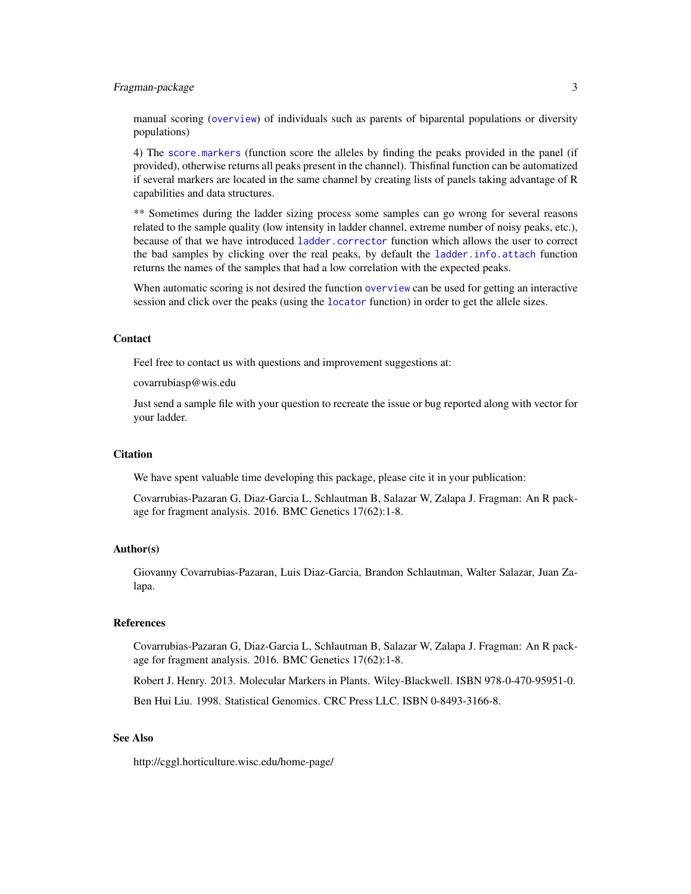## <span id="page-2-0"></span>Fragman-package 3

manual scoring ([overview](#page-21-1)) of individuals such as parents of biparental populations or diversity populations)

4) The [score.markers](#page-31-1) (function score the alleles by finding the peaks provided in the panel (if provided), otherwise returns all peaks present in the channel). Thisfinal function can be automatized if several markers are located in the same channel by creating lists of panels taking advantage of R capabilities and data structures.

\*\* Sometimes during the ladder sizing process some samples can go wrong for several reasons related to the sample quality (low intensity in ladder channel, extreme number of noisy peaks, etc.), because of that we have introduced [ladder.corrector](#page-15-1) function which allows the user to correct the bad samples by clicking over the real peaks, by default the [ladder.info.attach](#page-16-1) function returns the names of the samples that had a low correlation with the expected peaks.

When automatic scoring is not desired the function [overview](#page-21-1) can be used for getting an interactive session and click over the peaks (using the [locator](#page-0-0) function) in order to get the allele sizes.

#### Contact

Feel free to contact us with questions and improvement suggestions at:

covarrubiasp@wis.edu

Just send a sample file with your question to recreate the issue or bug reported along with vector for your ladder.

## **Citation**

We have spent valuable time developing this package, please cite it in your publication:

Covarrubias-Pazaran G, Diaz-Garcia L, Schlautman B, Salazar W, Zalapa J. Fragman: An R package for fragment analysis. 2016. BMC Genetics 17(62):1-8.

#### Author(s)

Giovanny Covarrubias-Pazaran, Luis Diaz-Garcia, Brandon Schlautman, Walter Salazar, Juan Zalapa.

#### References

Covarrubias-Pazaran G, Diaz-Garcia L, Schlautman B, Salazar W, Zalapa J. Fragman: An R package for fragment analysis. 2016. BMC Genetics 17(62):1-8.

Robert J. Henry. 2013. Molecular Markers in Plants. Wiley-Blackwell. ISBN 978-0-470-95951-0.

Ben Hui Liu. 1998. Statistical Genomics. CRC Press LLC. ISBN 0-8493-3166-8.

## See Also

http://cggl.horticulture.wisc.edu/home-page/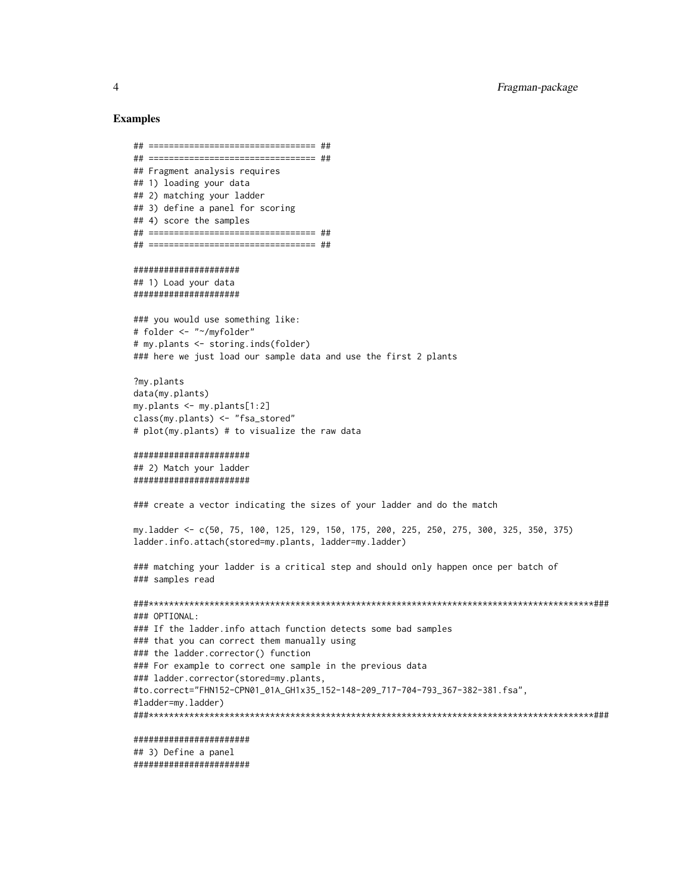## Examples

```
## ================================= ##
## ================================= ##
## Fragment analysis requires
## 1) loading your data
## 2) matching your ladder
## 3) define a panel for scoring
## 4) score the samples
## ================================= ##
## ================================= ##
```
##################### ## 1) Load your data #####################

```
### you would use something like:
# folder <- "~/myfolder"
# my.plants <- storing.inds(folder)
### here we just load our sample data and use the first 2 plants
```

```
?my.plants
data(my.plants)
my.plants <- my.plants[1:2]
class(my.plants) <- "fsa_stored"
# plot(my.plants) # to visualize the raw data
```

```
#######################
## 2) Match your ladder
#######################
```
### create a vector indicating the sizes of your ladder and do the match

my.ladder <- c(50, 75, 100, 125, 129, 150, 175, 200, 225, 250, 275, 300, 325, 350, 375) ladder.info.attach(stored=my.plants, ladder=my.ladder)

```
### matching your ladder is a critical step and should only happen once per batch of
### samples read
```

```
###****************************************************************************************###
### OPTIONAL:
### If the ladder.info attach function detects some bad samples
### that you can correct them manually using
### the ladder.corrector() function
### For example to correct one sample in the previous data
### ladder.corrector(stored=my.plants,
#to.correct="FHN152-CPN01_01A_GH1x35_152-148-209_717-704-793_367-382-381.fsa",
#ladder=my.ladder)
###****************************************************************************************###
```

```
#######################
```
## 3) Define a panel #######################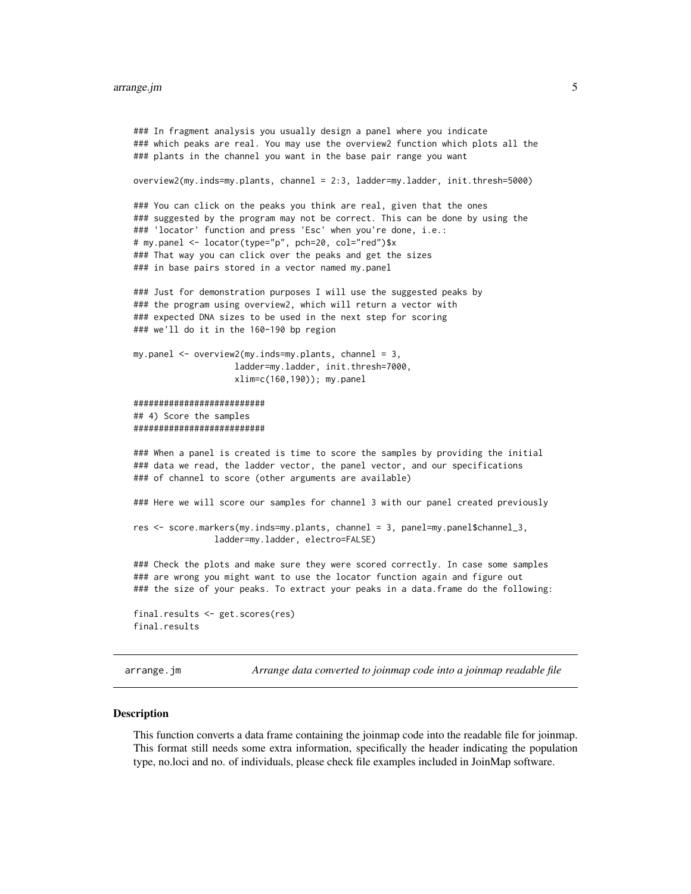#### <span id="page-4-0"></span>arrange.jm 5

```
### In fragment analysis you usually design a panel where you indicate
### which peaks are real. You may use the overview2 function which plots all the
### plants in the channel you want in the base pair range you want
overview2(my.inds=my.plants, channel = 2:3, ladder=my.ladder, init.thresh=5000)
### You can click on the peaks you think are real, given that the ones
### suggested by the program may not be correct. This can be done by using the
### 'locator' function and press 'Esc' when you're done, i.e.:
# my.panel <- locator(type="p", pch=20, col="red")$x
### That way you can click over the peaks and get the sizes
### in base pairs stored in a vector named my.panel
### Just for demonstration purposes I will use the suggested peaks by
### the program using overview2, which will return a vector with
### expected DNA sizes to be used in the next step for scoring
### we'll do it in the 160-190 bp region
my.panel <- overview2(my.inds=my.plants, channel = 3,
                    ladder=my.ladder, init.thresh=7000,
                    xlim=c(160,190)); my.panel
##########################
## 4) Score the samples
##########################
### When a panel is created is time to score the samples by providing the initial
### data we read, the ladder vector, the panel vector, and our specifications
### of channel to score (other arguments are available)
### Here we will score our samples for channel 3 with our panel created previously
res <- score.markers(my.inds=my.plants, channel = 3, panel=my.panel$channel_3,
                ladder=my.ladder, electro=FALSE)
### Check the plots and make sure they were scored correctly. In case some samples
### are wrong you might want to use the locator function again and figure out
### the size of your peaks. To extract your peaks in a data.frame do the following:
final.results <- get.scores(res)
final.results
```
arrange.jm *Arrange data converted to joinmap code into a joinmap readable file*

#### Description

This function converts a data frame containing the joinmap code into the readable file for joinmap. This format still needs some extra information, specifically the header indicating the population type, no.loci and no. of individuals, please check file examples included in JoinMap software.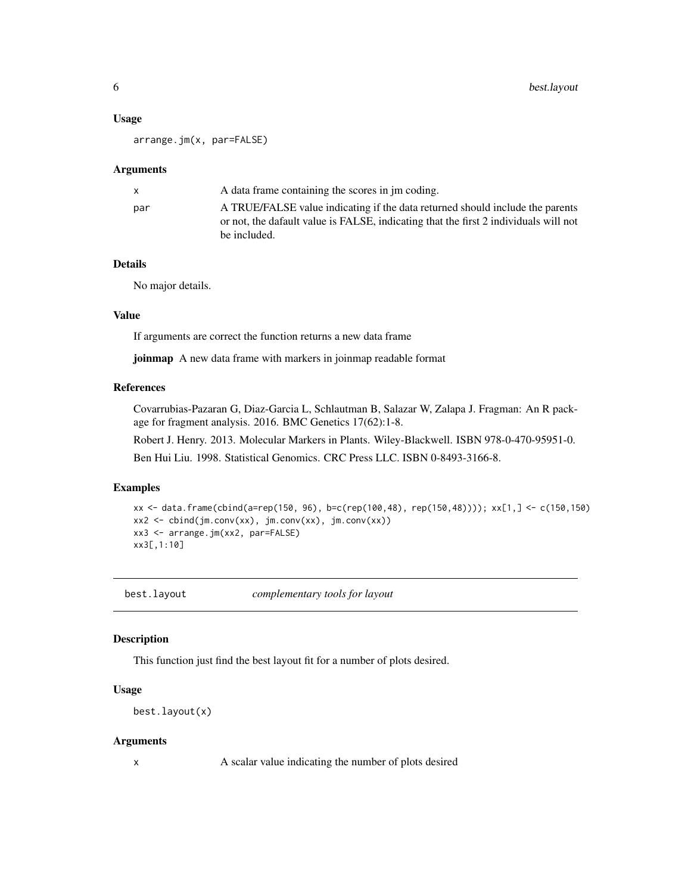#### <span id="page-5-0"></span>Usage

arrange.jm(x, par=FALSE)

#### **Arguments**

| X.  | A data frame containing the scores in im coding.                                                                                                                                      |
|-----|---------------------------------------------------------------------------------------------------------------------------------------------------------------------------------------|
| par | A TRUE/FALSE value indicating if the data returned should include the parents<br>or not, the dafault value is FALSE, indicating that the first 2 individuals will not<br>be included. |
|     |                                                                                                                                                                                       |

## Details

No major details.

## Value

If arguments are correct the function returns a new data frame

joinmap A new data frame with markers in joinmap readable format

## References

Covarrubias-Pazaran G, Diaz-Garcia L, Schlautman B, Salazar W, Zalapa J. Fragman: An R package for fragment analysis. 2016. BMC Genetics 17(62):1-8.

Robert J. Henry. 2013. Molecular Markers in Plants. Wiley-Blackwell. ISBN 978-0-470-95951-0.

Ben Hui Liu. 1998. Statistical Genomics. CRC Press LLC. ISBN 0-8493-3166-8.

## Examples

```
xx <- data.frame(cbind(a=rep(150, 96), b=c(rep(100,48), rep(150,48)))); xx[1,] <- c(150,150)
xx2 <- cbind(jm.conv(xx), jm.conv(xx), jm.conv(xx))
xx3 <- arrange.jm(xx2, par=FALSE)
xx3[,1:10]
```
best.layout *complementary tools for layout*

## Description

This function just find the best layout fit for a number of plots desired.

## Usage

```
best.layout(x)
```
#### Arguments

x A scalar value indicating the number of plots desired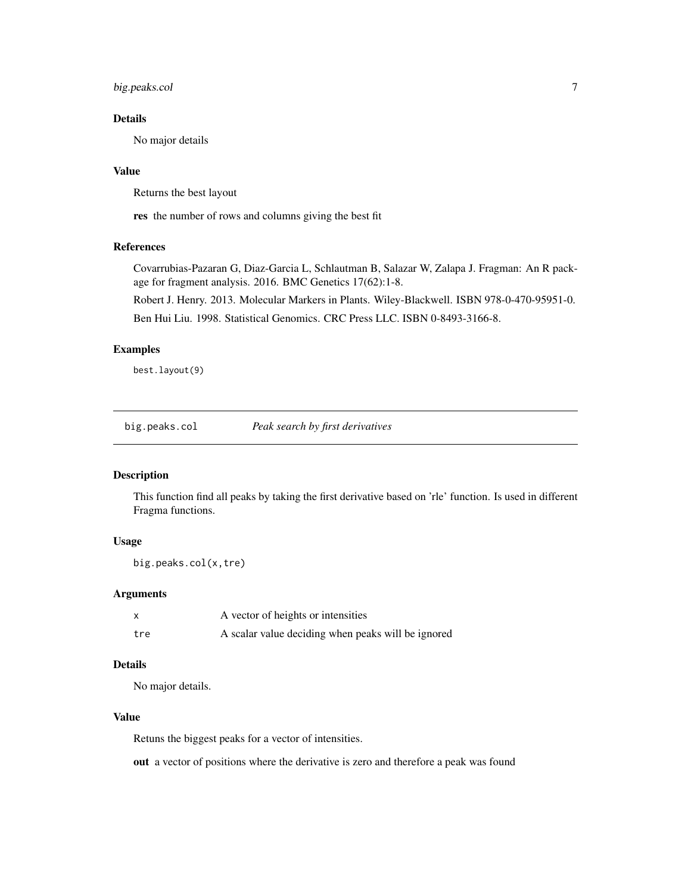## <span id="page-6-0"></span>big.peaks.col 7

## Details

No major details

## Value

Returns the best layout

res the number of rows and columns giving the best fit

#### References

Covarrubias-Pazaran G, Diaz-Garcia L, Schlautman B, Salazar W, Zalapa J. Fragman: An R package for fragment analysis. 2016. BMC Genetics 17(62):1-8.

Robert J. Henry. 2013. Molecular Markers in Plants. Wiley-Blackwell. ISBN 978-0-470-95951-0.

Ben Hui Liu. 1998. Statistical Genomics. CRC Press LLC. ISBN 0-8493-3166-8.

## Examples

best.layout(9)

big.peaks.col *Peak search by first derivatives*

## Description

This function find all peaks by taking the first derivative based on 'rle' function. Is used in different Fragma functions.

#### Usage

```
big.peaks.col(x,tre)
```
#### Arguments

|     | A vector of heights or intensities                 |
|-----|----------------------------------------------------|
| tre | A scalar value deciding when peaks will be ignored |

## Details

No major details.

## Value

Retuns the biggest peaks for a vector of intensities.

out a vector of positions where the derivative is zero and therefore a peak was found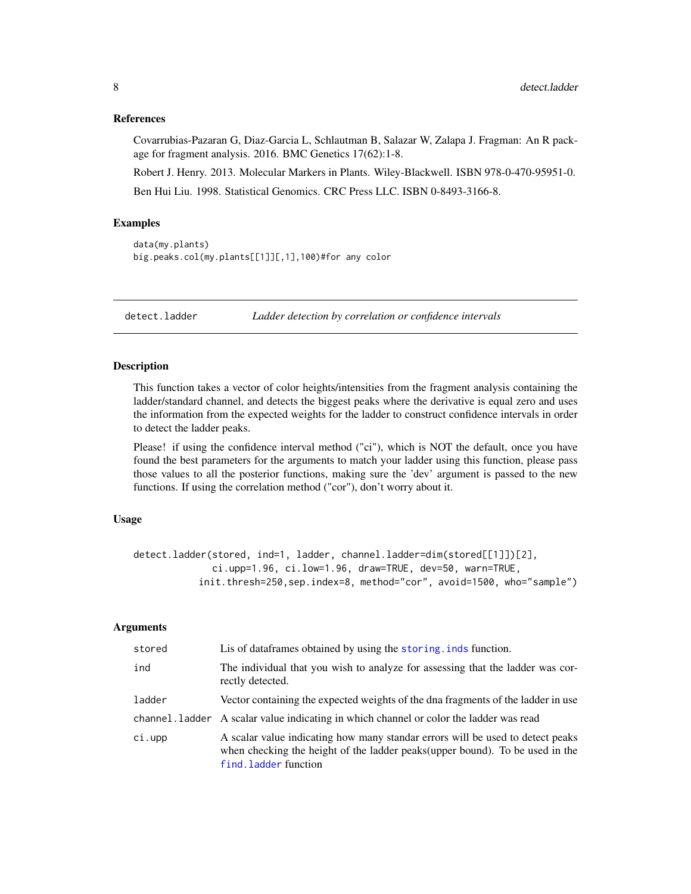#### <span id="page-7-0"></span>References

Covarrubias-Pazaran G, Diaz-Garcia L, Schlautman B, Salazar W, Zalapa J. Fragman: An R package for fragment analysis. 2016. BMC Genetics 17(62):1-8.

Robert J. Henry. 2013. Molecular Markers in Plants. Wiley-Blackwell. ISBN 978-0-470-95951-0. Ben Hui Liu. 1998. Statistical Genomics. CRC Press LLC. ISBN 0-8493-3166-8.

#### Examples

```
data(my.plants)
big.peaks.col(my.plants[[1]][,1],100)#for any color
```
detect.ladder *Ladder detection by correlation or confidence intervals*

## Description

This function takes a vector of color heights/intensities from the fragment analysis containing the ladder/standard channel, and detects the biggest peaks where the derivative is equal zero and uses the information from the expected weights for the ladder to construct confidence intervals in order to detect the ladder peaks.

Please! if using the confidence interval method ("ci"), which is NOT the default, once you have found the best parameters for the arguments to match your ladder using this function, please pass those values to all the posterior functions, making sure the 'dev' argument is passed to the new functions. If using the correlation method ("cor"), don't worry about it.

## Usage

```
detect.ladder(stored, ind=1, ladder, channel.ladder=dim(stored[[1]])[2],
             ci.upp=1.96, ci.low=1.96, draw=TRUE, dev=50, warn=TRUE,
           init.thresh=250, sep.index=8, method="cor", avoid=1500, who="sample")
```
### Arguments

| stored | Lis of dataframes obtained by using the storing. inds function.                                                                                                                          |
|--------|------------------------------------------------------------------------------------------------------------------------------------------------------------------------------------------|
| ind    | The individual that you wish to analyze for assessing that the ladder was cor-<br>rectly detected.                                                                                       |
| ladder | Vector containing the expected weights of the dna fragments of the ladder in use                                                                                                         |
|        | channel. Ladder A scalar value indicating in which channel or color the ladder was read                                                                                                  |
| ci.upp | A scalar value indicating how many standar errors will be used to detect peaks<br>when checking the height of the ladder peaks (upper bound). To be used in the<br>find. ladder function |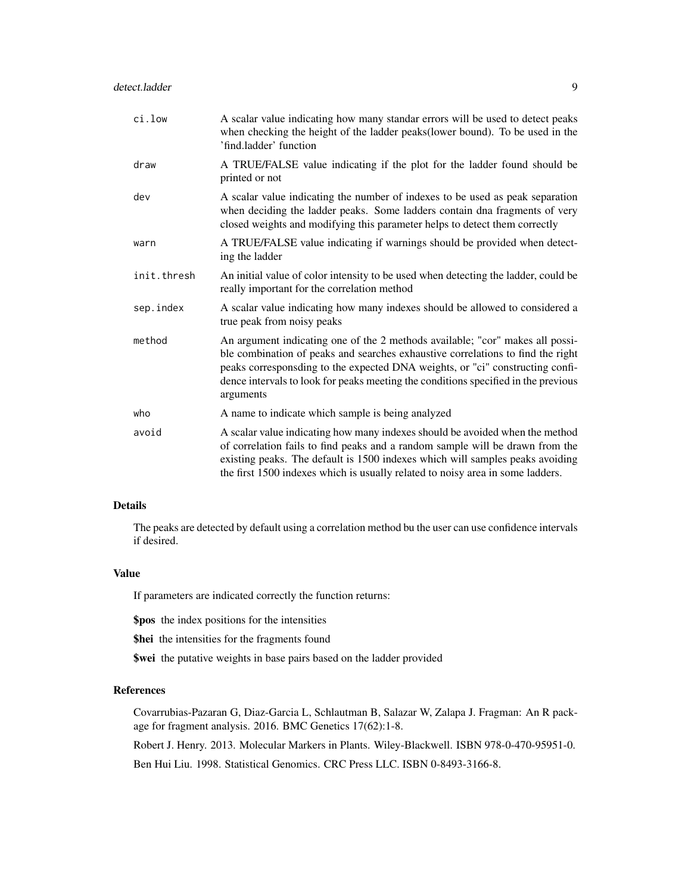| ci.low      | A scalar value indicating how many standar errors will be used to detect peaks<br>when checking the height of the ladder peaks(lower bound). To be used in the<br>'find.ladder' function                                                                                                                                                             |
|-------------|------------------------------------------------------------------------------------------------------------------------------------------------------------------------------------------------------------------------------------------------------------------------------------------------------------------------------------------------------|
| draw        | A TRUE/FALSE value indicating if the plot for the ladder found should be<br>printed or not                                                                                                                                                                                                                                                           |
| dev         | A scalar value indicating the number of indexes to be used as peak separation<br>when deciding the ladder peaks. Some ladders contain dna fragments of very<br>closed weights and modifying this parameter helps to detect them correctly                                                                                                            |
| warn        | A TRUE/FALSE value indicating if warnings should be provided when detect-<br>ing the ladder                                                                                                                                                                                                                                                          |
| init.thresh | An initial value of color intensity to be used when detecting the ladder, could be<br>really important for the correlation method                                                                                                                                                                                                                    |
| sep.index   | A scalar value indicating how many indexes should be allowed to considered a<br>true peak from noisy peaks                                                                                                                                                                                                                                           |
| method      | An argument indicating one of the 2 methods available; "cor" makes all possi-<br>ble combination of peaks and searches exhaustive correlations to find the right<br>peaks corresponsding to the expected DNA weights, or "ci" constructing confi-<br>dence intervals to look for peaks meeting the conditions specified in the previous<br>arguments |
| who         | A name to indicate which sample is being analyzed                                                                                                                                                                                                                                                                                                    |
| avoid       | A scalar value indicating how many indexes should be avoided when the method<br>of correlation fails to find peaks and a random sample will be drawn from the<br>existing peaks. The default is 1500 indexes which will samples peaks avoiding<br>the first 1500 indexes which is usually related to noisy area in some ladders.                     |

## Details

The peaks are detected by default using a correlation method bu the user can use confidence intervals if desired.

## Value

If parameters are indicated correctly the function returns:

\$pos the index positions for the intensities

\$hei the intensities for the fragments found

\$wei the putative weights in base pairs based on the ladder provided

## References

Covarrubias-Pazaran G, Diaz-Garcia L, Schlautman B, Salazar W, Zalapa J. Fragman: An R package for fragment analysis. 2016. BMC Genetics 17(62):1-8.

Robert J. Henry. 2013. Molecular Markers in Plants. Wiley-Blackwell. ISBN 978-0-470-95951-0.

Ben Hui Liu. 1998. Statistical Genomics. CRC Press LLC. ISBN 0-8493-3166-8.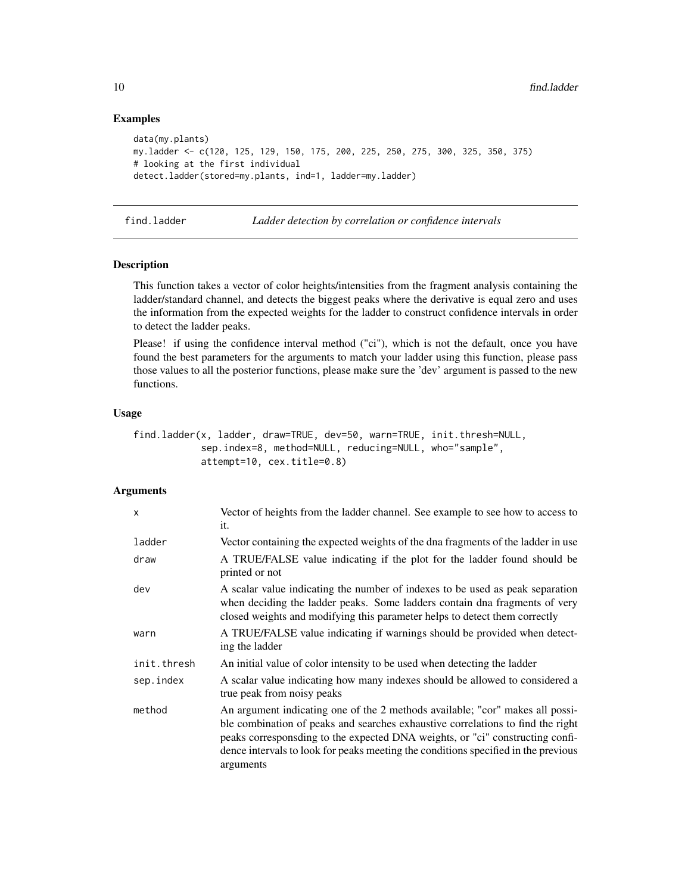## Examples

```
data(my.plants)
my.ladder <- c(120, 125, 129, 150, 175, 200, 225, 250, 275, 300, 325, 350, 375)
# looking at the first individual
detect.ladder(stored=my.plants, ind=1, ladder=my.ladder)
```
<span id="page-9-1"></span>find.ladder *Ladder detection by correlation or confidence intervals*

## Description

This function takes a vector of color heights/intensities from the fragment analysis containing the ladder/standard channel, and detects the biggest peaks where the derivative is equal zero and uses the information from the expected weights for the ladder to construct confidence intervals in order to detect the ladder peaks.

Please! if using the confidence interval method ("ci"), which is not the default, once you have found the best parameters for the arguments to match your ladder using this function, please pass those values to all the posterior functions, please make sure the 'dev' argument is passed to the new functions.

#### Usage

```
find.ladder(x, ladder, draw=TRUE, dev=50, warn=TRUE, init.thresh=NULL,
            sep.index=8, method=NULL, reducing=NULL, who="sample",
            attempt=10, cex.title=0.8)
```
## Arguments

| X           | Vector of heights from the ladder channel. See example to see how to access to<br>it.                                                                                                                                                                                                                                                                |
|-------------|------------------------------------------------------------------------------------------------------------------------------------------------------------------------------------------------------------------------------------------------------------------------------------------------------------------------------------------------------|
| ladder      | Vector containing the expected weights of the dna fragments of the ladder in use                                                                                                                                                                                                                                                                     |
| draw        | A TRUE/FALSE value indicating if the plot for the ladder found should be<br>printed or not                                                                                                                                                                                                                                                           |
| dev         | A scalar value indicating the number of indexes to be used as peak separation<br>when deciding the ladder peaks. Some ladders contain dna fragments of very<br>closed weights and modifying this parameter helps to detect them correctly                                                                                                            |
| warn        | A TRUE/FALSE value indicating if warnings should be provided when detect-<br>ing the ladder                                                                                                                                                                                                                                                          |
| init.thresh | An initial value of color intensity to be used when detecting the ladder                                                                                                                                                                                                                                                                             |
| sep.index   | A scalar value indicating how many indexes should be allowed to considered a<br>true peak from noisy peaks                                                                                                                                                                                                                                           |
| method      | An argument indicating one of the 2 methods available; "cor" makes all possi-<br>ble combination of peaks and searches exhaustive correlations to find the right<br>peaks corresponsding to the expected DNA weights, or "ci" constructing confi-<br>dence intervals to look for peaks meeting the conditions specified in the previous<br>arguments |

<span id="page-9-0"></span>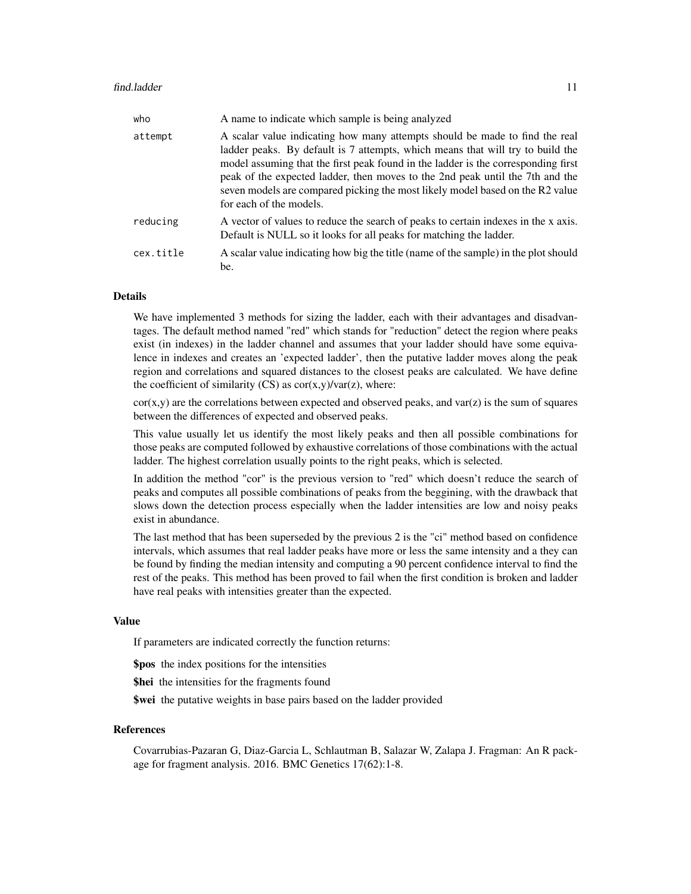| who       | A name to indicate which sample is being analyzed                                                                                                                                                                                                                                                                                                                                                                                               |
|-----------|-------------------------------------------------------------------------------------------------------------------------------------------------------------------------------------------------------------------------------------------------------------------------------------------------------------------------------------------------------------------------------------------------------------------------------------------------|
| attempt   | A scalar value indicating how many attempts should be made to find the real<br>ladder peaks. By default is 7 attempts, which means that will try to build the<br>model assuming that the first peak found in the ladder is the corresponding first<br>peak of the expected ladder, then moves to the 2nd peak until the 7th and the<br>seven models are compared picking the most likely model based on the R2 value<br>for each of the models. |
| reducing  | A vector of values to reduce the search of peaks to certain indexes in the x axis.<br>Default is NULL so it looks for all peaks for matching the ladder.                                                                                                                                                                                                                                                                                        |
| cex.title | A scalar value indicating how big the title (name of the sample) in the plot should<br>be.                                                                                                                                                                                                                                                                                                                                                      |

#### Details

We have implemented 3 methods for sizing the ladder, each with their advantages and disadvantages. The default method named "red" which stands for "reduction" detect the region where peaks exist (in indexes) in the ladder channel and assumes that your ladder should have some equivalence in indexes and creates an 'expected ladder', then the putative ladder moves along the peak region and correlations and squared distances to the closest peaks are calculated. We have define the coefficient of similarity  $(CS)$  as  $cor(x,y)/var(z)$ , where:

 $cor(x,y)$  are the correlations between expected and observed peaks, and  $var(z)$  is the sum of squares between the differences of expected and observed peaks.

This value usually let us identify the most likely peaks and then all possible combinations for those peaks are computed followed by exhaustive correlations of those combinations with the actual ladder. The highest correlation usually points to the right peaks, which is selected.

In addition the method "cor" is the previous version to "red" which doesn't reduce the search of peaks and computes all possible combinations of peaks from the beggining, with the drawback that slows down the detection process especially when the ladder intensities are low and noisy peaks exist in abundance.

The last method that has been superseded by the previous 2 is the "ci" method based on confidence intervals, which assumes that real ladder peaks have more or less the same intensity and a they can be found by finding the median intensity and computing a 90 percent confidence interval to find the rest of the peaks. This method has been proved to fail when the first condition is broken and ladder have real peaks with intensities greater than the expected.

## Value

If parameters are indicated correctly the function returns:

\$pos the index positions for the intensities

\$hei the intensities for the fragments found

\$wei the putative weights in base pairs based on the ladder provided

#### References

Covarrubias-Pazaran G, Diaz-Garcia L, Schlautman B, Salazar W, Zalapa J. Fragman: An R package for fragment analysis. 2016. BMC Genetics 17(62):1-8.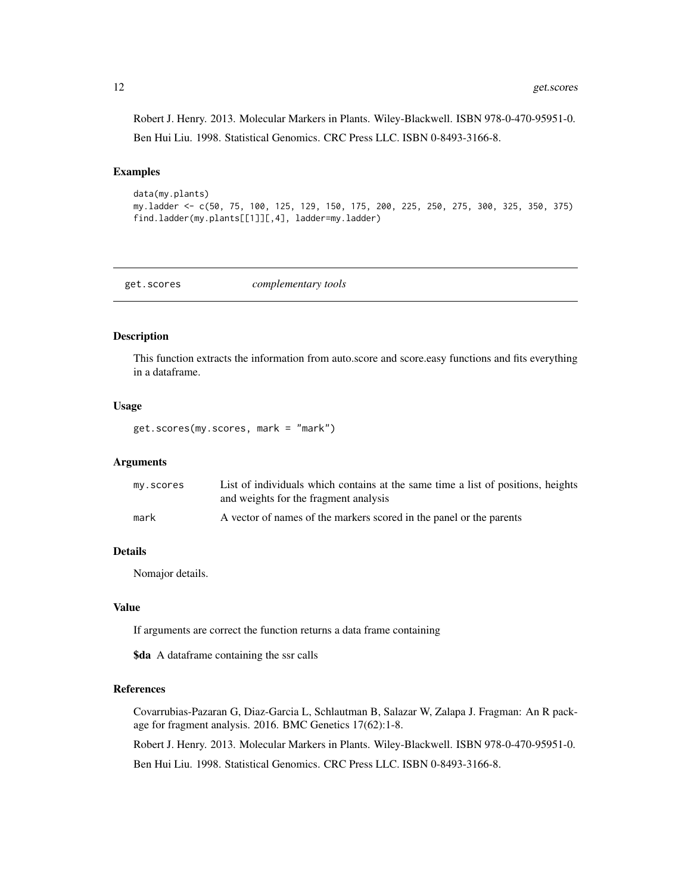<span id="page-11-0"></span>Robert J. Henry. 2013. Molecular Markers in Plants. Wiley-Blackwell. ISBN 978-0-470-95951-0. Ben Hui Liu. 1998. Statistical Genomics. CRC Press LLC. ISBN 0-8493-3166-8.

#### Examples

data(my.plants) my.ladder <- c(50, 75, 100, 125, 129, 150, 175, 200, 225, 250, 275, 300, 325, 350, 375) find.ladder(my.plants[[1]][,4], ladder=my.ladder)

get.scores *complementary tools*

#### Description

This function extracts the information from auto.score and score.easy functions and fits everything in a dataframe.

#### Usage

get.scores(my.scores, mark = "mark")

#### Arguments

| my.scores | List of individuals which contains at the same time a list of positions, heights |
|-----------|----------------------------------------------------------------------------------|
|           | and weights for the fragment analysis                                            |
| mark      | A vector of names of the markers scored in the panel or the parents              |

#### Details

Nomajor details.

#### Value

If arguments are correct the function returns a data frame containing

\$da A dataframe containing the ssr calls

#### References

Covarrubias-Pazaran G, Diaz-Garcia L, Schlautman B, Salazar W, Zalapa J. Fragman: An R package for fragment analysis. 2016. BMC Genetics 17(62):1-8.

Robert J. Henry. 2013. Molecular Markers in Plants. Wiley-Blackwell. ISBN 978-0-470-95951-0.

Ben Hui Liu. 1998. Statistical Genomics. CRC Press LLC. ISBN 0-8493-3166-8.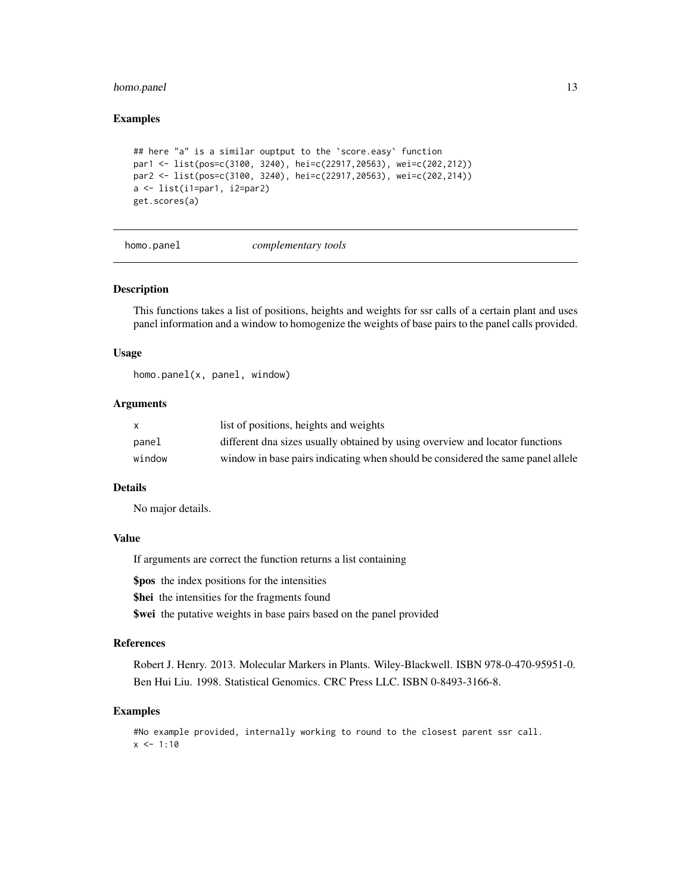## <span id="page-12-0"></span>homo.panel 13

#### Examples

```
## here "a" is a similar ouptput to the 'score.easy' function
par1 <- list(pos=c(3100, 3240), hei=c(22917,20563), wei=c(202,212))
par2 <- list(pos=c(3100, 3240), hei=c(22917,20563), wei=c(202,214))
a \leftarrow list(i1=par1, i2=par2)get.scores(a)
```

```
homo.panel complementary tools
```
#### Description

This functions takes a list of positions, heights and weights for ssr calls of a certain plant and uses panel information and a window to homogenize the weights of base pairs to the panel calls provided.

#### Usage

homo.panel(x, panel, window)

## Arguments

| X      | list of positions, heights and weights                                          |
|--------|---------------------------------------------------------------------------------|
| panel  | different dna sizes usually obtained by using overview and locator functions    |
| window | window in base pairs indicating when should be considered the same panel allele |

#### Details

No major details.

#### Value

If arguments are correct the function returns a list containing

\$pos the index positions for the intensities

\$hei the intensities for the fragments found

\$wei the putative weights in base pairs based on the panel provided

#### References

Robert J. Henry. 2013. Molecular Markers in Plants. Wiley-Blackwell. ISBN 978-0-470-95951-0. Ben Hui Liu. 1998. Statistical Genomics. CRC Press LLC. ISBN 0-8493-3166-8.

## Examples

```
#No example provided, internally working to round to the closest parent ssr call.
x < -1:10
```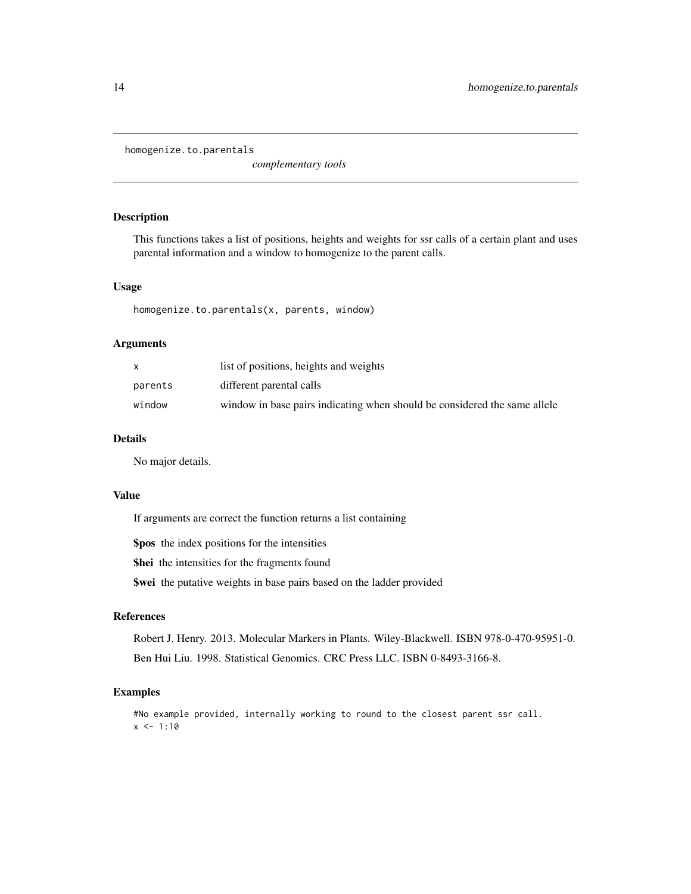<span id="page-13-0"></span>homogenize.to.parentals

*complementary tools*

## Description

This functions takes a list of positions, heights and weights for ssr calls of a certain plant and uses parental information and a window to homogenize to the parent calls.

## Usage

homogenize.to.parentals(x, parents, window)

## Arguments

|         | list of positions, heights and weights                                    |
|---------|---------------------------------------------------------------------------|
| parents | different parental calls                                                  |
| window  | window in base pairs indicating when should be considered the same allele |

## Details

No major details.

#### Value

If arguments are correct the function returns a list containing

\$pos the index positions for the intensities

\$hei the intensities for the fragments found

\$wei the putative weights in base pairs based on the ladder provided

## References

Robert J. Henry. 2013. Molecular Markers in Plants. Wiley-Blackwell. ISBN 978-0-470-95951-0. Ben Hui Liu. 1998. Statistical Genomics. CRC Press LLC. ISBN 0-8493-3166-8.

## Examples

#No example provided, internally working to round to the closest parent ssr call.  $x \le -1:10$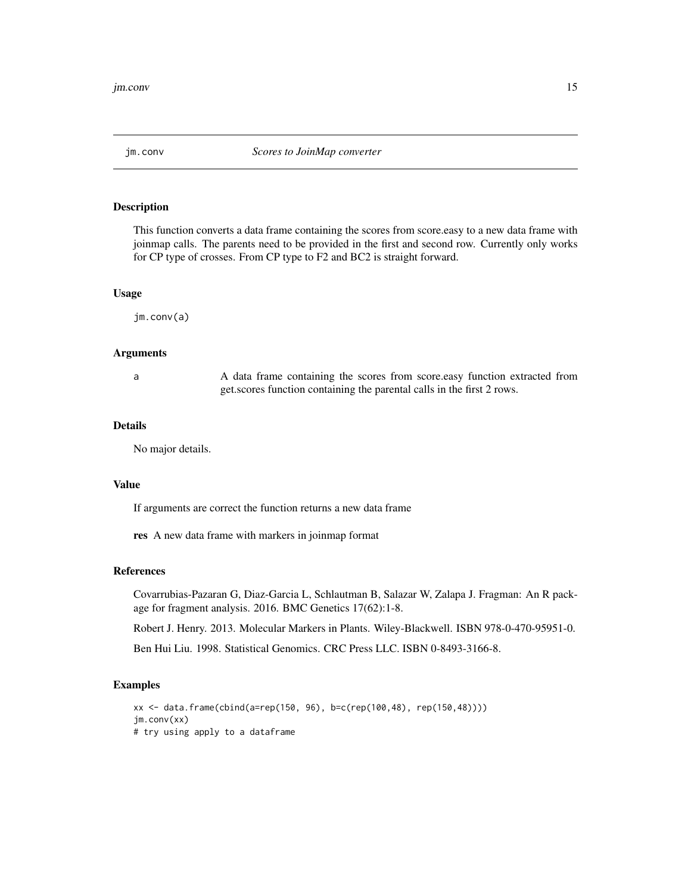<span id="page-14-0"></span>

## Description

This function converts a data frame containing the scores from score.easy to a new data frame with joinmap calls. The parents need to be provided in the first and second row. Currently only works for CP type of crosses. From CP type to F2 and BC2 is straight forward.

#### Usage

jm.conv(a)

## Arguments

a A data frame containing the scores from score.easy function extracted from get.scores function containing the parental calls in the first 2 rows.

#### Details

No major details.

## Value

If arguments are correct the function returns a new data frame

res A new data frame with markers in joinmap format

## References

Covarrubias-Pazaran G, Diaz-Garcia L, Schlautman B, Salazar W, Zalapa J. Fragman: An R package for fragment analysis. 2016. BMC Genetics 17(62):1-8.

Robert J. Henry. 2013. Molecular Markers in Plants. Wiley-Blackwell. ISBN 978-0-470-95951-0.

Ben Hui Liu. 1998. Statistical Genomics. CRC Press LLC. ISBN 0-8493-3166-8.

#### Examples

```
xx <- data.frame(cbind(a=rep(150, 96), b=c(rep(100,48), rep(150,48))))
jm.conv(xx)
# try using apply to a dataframe
```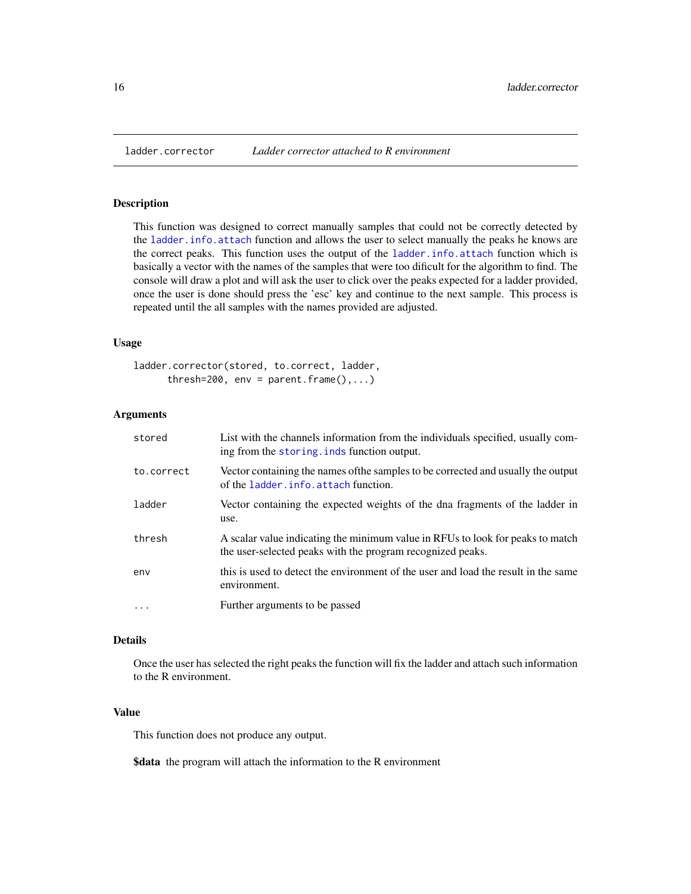## Description

This function was designed to correct manually samples that could not be correctly detected by the [ladder.info.attach](#page-16-1) function and allows the user to select manually the peaks he knows are the correct peaks. This function uses the output of the [ladder.info.attach](#page-16-1) function which is basically a vector with the names of the samples that were too dificult for the algorithm to find. The console will draw a plot and will ask the user to click over the peaks expected for a ladder provided, once the user is done should press the 'esc' key and continue to the next sample. This process is repeated until the all samples with the names provided are adjusted.

#### Usage

```
ladder.corrector(stored, to.correct, ladder,
     thresh=200, env = parent.frame(),...)
```
#### Arguments

| stored     | List with the channels information from the individuals specified, usually com-<br>ing from the storing, inds function output.               |
|------------|----------------------------------------------------------------------------------------------------------------------------------------------|
| to.correct | Vector containing the names of the samples to be corrected and usually the output<br>of the ladder.info.attach function.                     |
| ladder     | Vector containing the expected weights of the dna fragments of the ladder in<br>use.                                                         |
| thresh     | A scalar value indicating the minimum value in RFUs to look for peaks to match<br>the user-selected peaks with the program recognized peaks. |
| env        | this is used to detect the environment of the user and load the result in the same<br>environment.                                           |
| $\ddotsc$  | Further arguments to be passed                                                                                                               |

## Details

Once the user has selected the right peaks the function will fix the ladder and attach such information to the R environment.

#### Value

This function does not produce any output.

**\$data** the program will attach the information to the R environment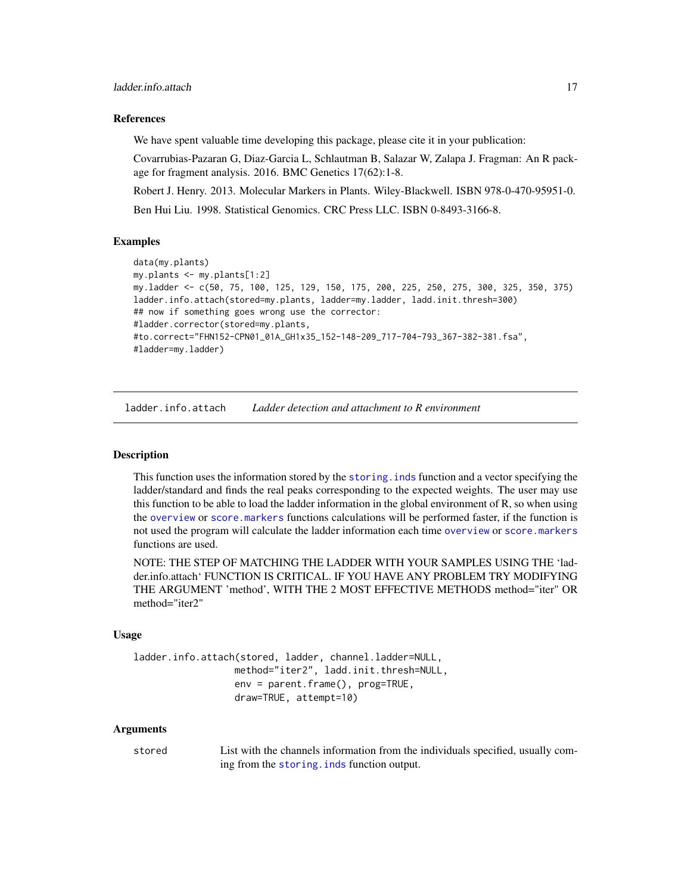#### <span id="page-16-0"></span>References

We have spent valuable time developing this package, please cite it in your publication:

Covarrubias-Pazaran G, Diaz-Garcia L, Schlautman B, Salazar W, Zalapa J. Fragman: An R package for fragment analysis. 2016. BMC Genetics 17(62):1-8.

Robert J. Henry. 2013. Molecular Markers in Plants. Wiley-Blackwell. ISBN 978-0-470-95951-0.

Ben Hui Liu. 1998. Statistical Genomics. CRC Press LLC. ISBN 0-8493-3166-8.

#### Examples

```
data(my.plants)
my.plants <- my.plants[1:2]
my.ladder <- c(50, 75, 100, 125, 129, 150, 175, 200, 225, 250, 275, 300, 325, 350, 375)
ladder.info.attach(stored=my.plants, ladder=my.ladder, ladd.init.thresh=300)
## now if something goes wrong use the corrector:
#ladder.corrector(stored=my.plants,
#to.correct="FHN152-CPN01_01A_GH1x35_152-148-209_717-704-793_367-382-381.fsa",
#ladder=my.ladder)
```
<span id="page-16-1"></span>ladder.info.attach *Ladder detection and attachment to R environment*

#### Description

This function uses the information stored by the [storing.inds](#page-36-1) function and a vector specifying the ladder/standard and finds the real peaks corresponding to the expected weights. The user may use this function to be able to load the ladder information in the global environment of R, so when using the [overview](#page-21-1) or [score.markers](#page-31-1) functions calculations will be performed faster, if the function is not used the program will calculate the ladder information each time [overview](#page-21-1) or [score.markers](#page-31-1) functions are used.

NOTE: THE STEP OF MATCHING THE LADDER WITH YOUR SAMPLES USING THE 'ladder.info.attach' FUNCTION IS CRITICAL. IF YOU HAVE ANY PROBLEM TRY MODIFYING THE ARGUMENT 'method', WITH THE 2 MOST EFFECTIVE METHODS method="iter" OR method="iter2"

#### Usage

```
ladder.info.attach(stored, ladder, channel.ladder=NULL,
                  method="iter2", ladd.init.thresh=NULL,
                  env = parent.frame(), prog=TRUE,
                  draw=TRUE, attempt=10)
```
#### Arguments

stored List with the channels information from the individuals specified, usually coming from the [storing.inds](#page-36-1) function output.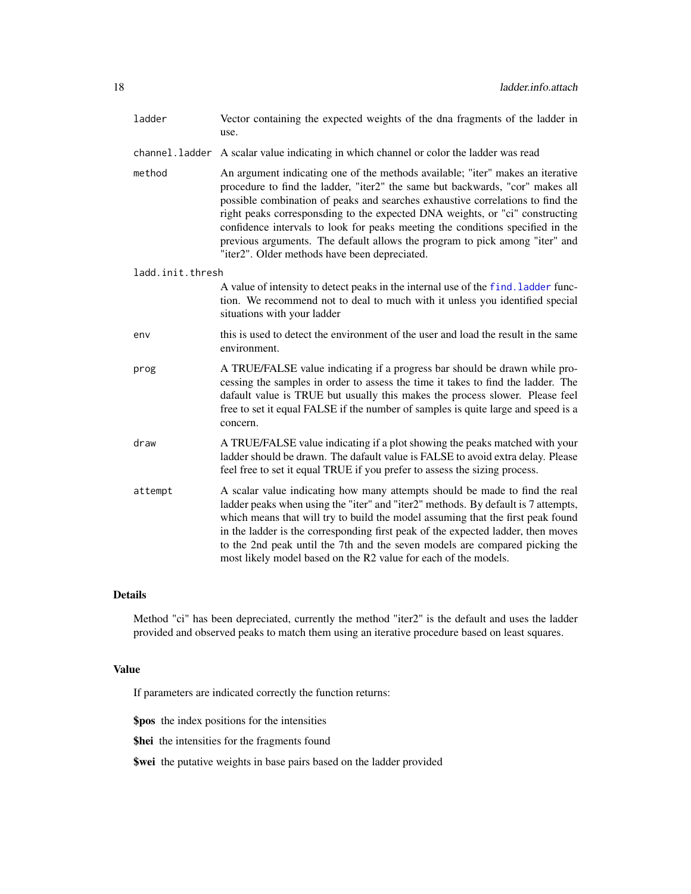<span id="page-17-0"></span>

| ladder           | Vector containing the expected weights of the dna fragments of the ladder in<br>use.                                                                                                                                                                                                                                                                                                                                                                                                                                                                |
|------------------|-----------------------------------------------------------------------------------------------------------------------------------------------------------------------------------------------------------------------------------------------------------------------------------------------------------------------------------------------------------------------------------------------------------------------------------------------------------------------------------------------------------------------------------------------------|
| channel.ladder   | A scalar value indicating in which channel or color the ladder was read                                                                                                                                                                                                                                                                                                                                                                                                                                                                             |
| method           | An argument indicating one of the methods available; "iter" makes an iterative<br>procedure to find the ladder, "iter2" the same but backwards, "cor" makes all<br>possible combination of peaks and searches exhaustive correlations to find the<br>right peaks corresponsding to the expected DNA weights, or "ci" constructing<br>confidence intervals to look for peaks meeting the conditions specified in the<br>previous arguments. The default allows the program to pick among "iter" and<br>"iter2". Older methods have been depreciated. |
| ladd.init.thresh |                                                                                                                                                                                                                                                                                                                                                                                                                                                                                                                                                     |
|                  | A value of intensity to detect peaks in the internal use of the find. ladder func-<br>tion. We recommend not to deal to much with it unless you identified special<br>situations with your ladder                                                                                                                                                                                                                                                                                                                                                   |
| env              | this is used to detect the environment of the user and load the result in the same<br>environment.                                                                                                                                                                                                                                                                                                                                                                                                                                                  |
| prog             | A TRUE/FALSE value indicating if a progress bar should be drawn while pro-<br>cessing the samples in order to assess the time it takes to find the ladder. The<br>dafault value is TRUE but usually this makes the process slower. Please feel<br>free to set it equal FALSE if the number of samples is quite large and speed is a<br>concern.                                                                                                                                                                                                     |
| draw             | A TRUE/FALSE value indicating if a plot showing the peaks matched with your<br>ladder should be drawn. The dafault value is FALSE to avoid extra delay. Please<br>feel free to set it equal TRUE if you prefer to assess the sizing process.                                                                                                                                                                                                                                                                                                        |
| attempt          | A scalar value indicating how many attempts should be made to find the real<br>ladder peaks when using the "iter" and "iter2" methods. By default is 7 attempts,<br>which means that will try to build the model assuming that the first peak found<br>in the ladder is the corresponding first peak of the expected ladder, then moves<br>to the 2nd peak until the 7th and the seven models are compared picking the<br>most likely model based on the R2 value for each of the models.                                                           |

## Details

Method "ci" has been depreciated, currently the method "iter2" is the default and uses the ladder provided and observed peaks to match them using an iterative procedure based on least squares.

## Value

If parameters are indicated correctly the function returns:

\$pos the index positions for the intensities

\$hei the intensities for the fragments found

\$wei the putative weights in base pairs based on the ladder provided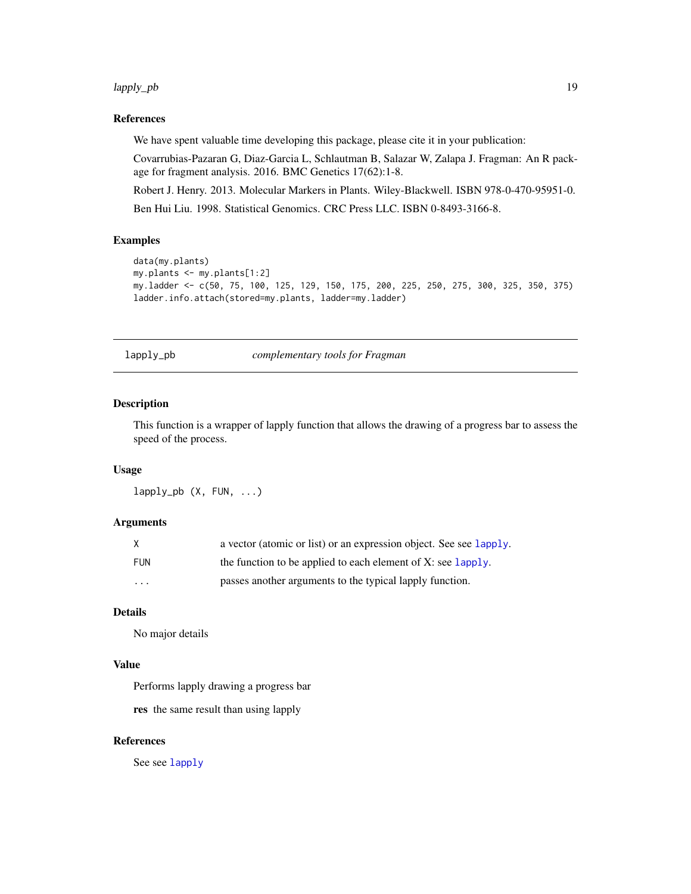#### <span id="page-18-0"></span>lapply\_pb 19

## References

We have spent valuable time developing this package, please cite it in your publication:

Covarrubias-Pazaran G, Diaz-Garcia L, Schlautman B, Salazar W, Zalapa J. Fragman: An R package for fragment analysis. 2016. BMC Genetics 17(62):1-8.

Robert J. Henry. 2013. Molecular Markers in Plants. Wiley-Blackwell. ISBN 978-0-470-95951-0. Ben Hui Liu. 1998. Statistical Genomics. CRC Press LLC. ISBN 0-8493-3166-8.

#### Examples

```
data(my.plants)
my.plants <- my.plants[1:2]
my.ladder <- c(50, 75, 100, 125, 129, 150, 175, 200, 225, 250, 275, 300, 325, 350, 375)
ladder.info.attach(stored=my.plants, ladder=my.ladder)
```
lapply\_pb *complementary tools for Fragman*

## Description

This function is a wrapper of lapply function that allows the drawing of a progress bar to assess the speed of the process.

#### Usage

 $l$ apply\_pb  $(X, FUN, ...)$ 

## Arguments

| X        | a vector (atomic or list) or an expression object. See see lapply.     |
|----------|------------------------------------------------------------------------|
| FUN      | the function to be applied to each element of X: see $\text{lapoly}$ . |
| $\cdots$ | passes another arguments to the typical lapply function.               |

## Details

No major details

## Value

Performs lapply drawing a progress bar

res the same result than using lapply

## References

See see [lapply](#page-0-0)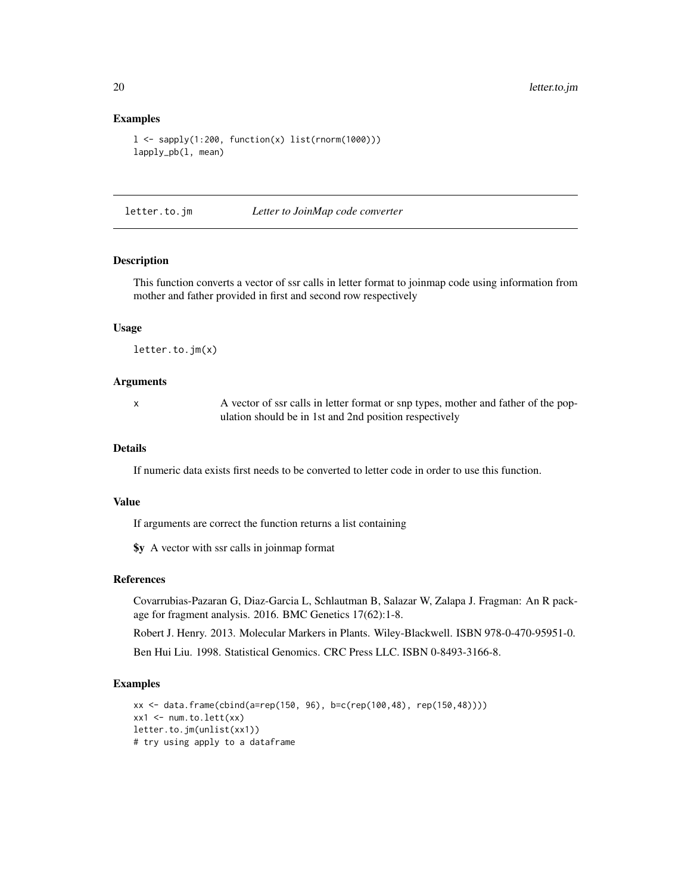#### Examples

```
l \leq sapply(1:200, function(x) list(rnorm(1000)))
lapply_pb(l, mean)
```
letter.to.jm *Letter to JoinMap code converter*

## Description

This function converts a vector of ssr calls in letter format to joinmap code using information from mother and father provided in first and second row respectively

#### Usage

letter.to.jm(x)

#### Arguments

x A vector of ssr calls in letter format or snp types, mother and father of the population should be in 1st and 2nd position respectively

#### Details

If numeric data exists first needs to be converted to letter code in order to use this function.

### Value

If arguments are correct the function returns a list containing

\$y A vector with ssr calls in joinmap format

#### References

Covarrubias-Pazaran G, Diaz-Garcia L, Schlautman B, Salazar W, Zalapa J. Fragman: An R package for fragment analysis. 2016. BMC Genetics 17(62):1-8.

Robert J. Henry. 2013. Molecular Markers in Plants. Wiley-Blackwell. ISBN 978-0-470-95951-0.

Ben Hui Liu. 1998. Statistical Genomics. CRC Press LLC. ISBN 0-8493-3166-8.

#### Examples

```
xx <- data.frame(cbind(a=rep(150, 96), b=c(rep(100,48), rep(150,48))))
xx1 \leq -num.to.left(xx)letter.to.jm(unlist(xx1))
# try using apply to a dataframe
```
<span id="page-19-0"></span>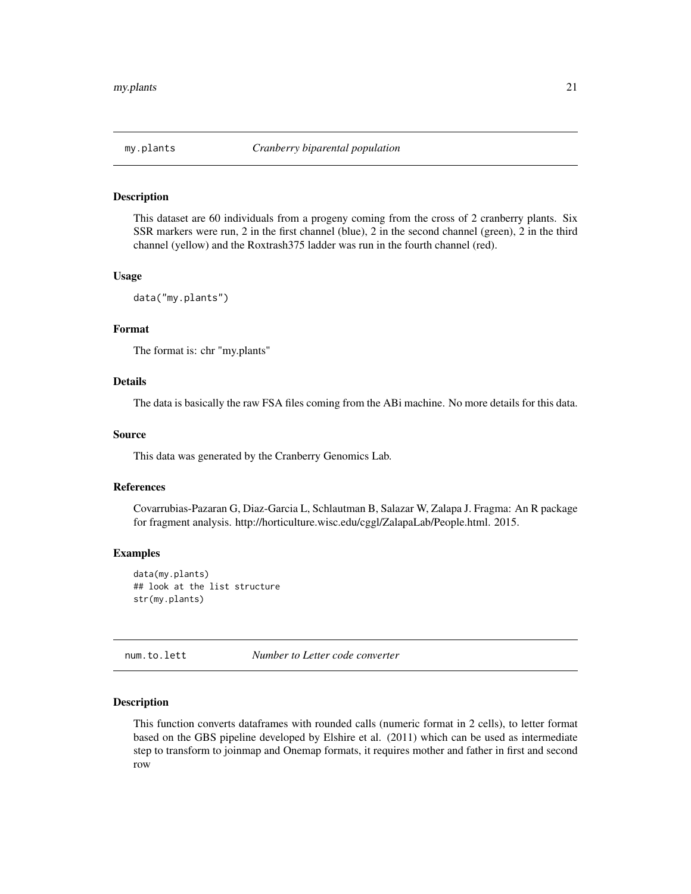<span id="page-20-0"></span>

#### Description

This dataset are 60 individuals from a progeny coming from the cross of 2 cranberry plants. Six SSR markers were run, 2 in the first channel (blue), 2 in the second channel (green), 2 in the third channel (yellow) and the Roxtrash375 ladder was run in the fourth channel (red).

#### Usage

```
data("my.plants")
```
## Format

The format is: chr "my.plants"

#### Details

The data is basically the raw FSA files coming from the ABi machine. No more details for this data.

#### Source

This data was generated by the Cranberry Genomics Lab.

### References

Covarrubias-Pazaran G, Diaz-Garcia L, Schlautman B, Salazar W, Zalapa J. Fragma: An R package for fragment analysis. http://horticulture.wisc.edu/cggl/ZalapaLab/People.html. 2015.

#### Examples

data(my.plants) ## look at the list structure str(my.plants)

num.to.lett *Number to Letter code converter*

#### Description

This function converts dataframes with rounded calls (numeric format in 2 cells), to letter format based on the GBS pipeline developed by Elshire et al. (2011) which can be used as intermediate step to transform to joinmap and Onemap formats, it requires mother and father in first and second row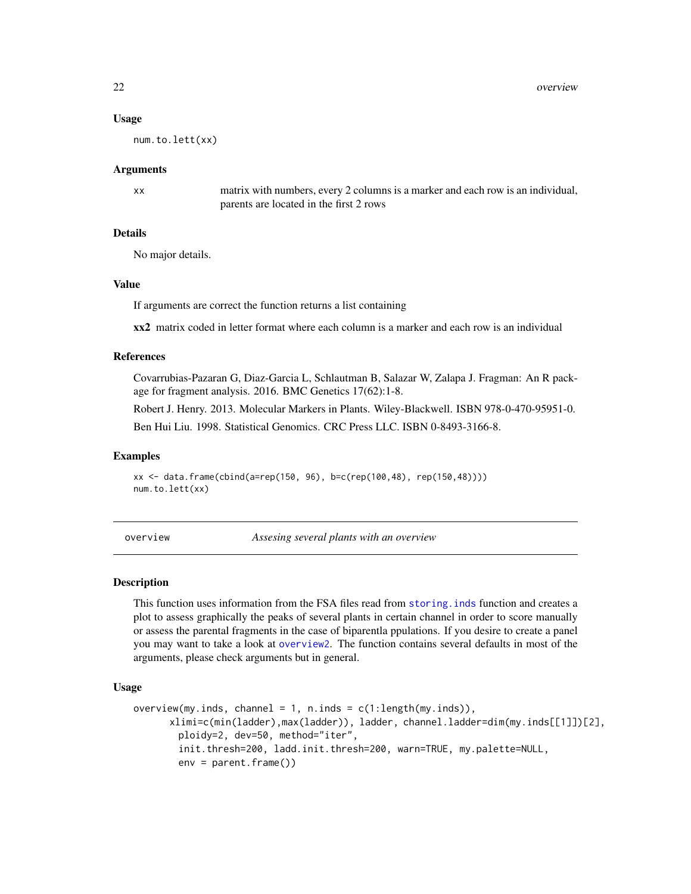#### Usage

num.to.lett(xx)

#### Arguments

xx matrix with numbers, every 2 columns is a marker and each row is an individual, parents are located in the first 2 rows

#### Details

No major details.

## Value

If arguments are correct the function returns a list containing

xx2 matrix coded in letter format where each column is a marker and each row is an individual

#### References

Covarrubias-Pazaran G, Diaz-Garcia L, Schlautman B, Salazar W, Zalapa J. Fragman: An R package for fragment analysis. 2016. BMC Genetics 17(62):1-8.

Robert J. Henry. 2013. Molecular Markers in Plants. Wiley-Blackwell. ISBN 978-0-470-95951-0.

Ben Hui Liu. 1998. Statistical Genomics. CRC Press LLC. ISBN 0-8493-3166-8.

#### Examples

```
xx <- data.frame(cbind(a=rep(150, 96), b=c(rep(100,48), rep(150,48))))
num.to.lett(xx)
```
<span id="page-21-1"></span>overview *Assesing several plants with an overview*

#### Description

This function uses information from the FSA files read from [storing.inds](#page-36-1) function and creates a plot to assess graphically the peaks of several plants in certain channel in order to score manually or assess the parental fragments in the case of biparentla ppulations. If you desire to create a panel you may want to take a look at [overview2](#page-23-1). The function contains several defaults in most of the arguments, please check arguments but in general.

#### Usage

```
overview(my.index, channel = 1, n.index = c(1:length(my.index)),xlimi=c(min(ladder),max(ladder)), ladder, channel.ladder=dim(my.inds[[1]])[2],
       ploidy=2, dev=50, method="iter",
       init.thresh=200, ladd.init.thresh=200, warn=TRUE, my.palette=NULL,
       env = parent.frame()
```
<span id="page-21-0"></span>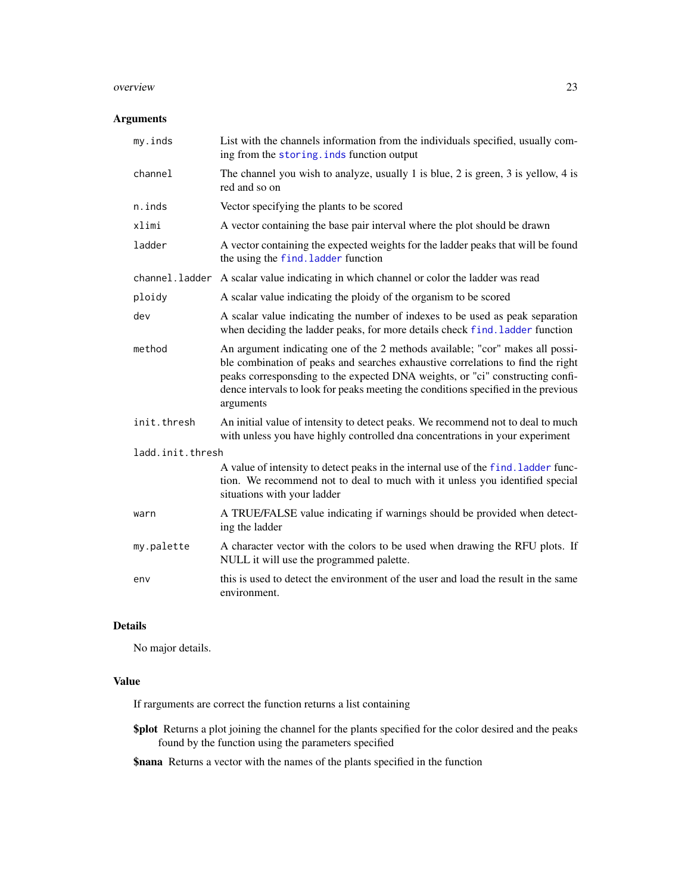#### <span id="page-22-0"></span>overview 23

#### Arguments

| my.inds          | List with the channels information from the individuals specified, usually com-<br>ing from the storing. inds function output                                                                                                                                                                                                                        |
|------------------|------------------------------------------------------------------------------------------------------------------------------------------------------------------------------------------------------------------------------------------------------------------------------------------------------------------------------------------------------|
| channel          | The channel you wish to analyze, usually 1 is blue, 2 is green, 3 is yellow, 4 is<br>red and so on                                                                                                                                                                                                                                                   |
| $n.$ inds        | Vector specifying the plants to be scored                                                                                                                                                                                                                                                                                                            |
| xlimi            | A vector containing the base pair interval where the plot should be drawn                                                                                                                                                                                                                                                                            |
| ladder           | A vector containing the expected weights for the ladder peaks that will be found<br>the using the find. ladder function                                                                                                                                                                                                                              |
| channel.ladder   | A scalar value indicating in which channel or color the ladder was read                                                                                                                                                                                                                                                                              |
| ploidy           | A scalar value indicating the ploidy of the organism to be scored                                                                                                                                                                                                                                                                                    |
| dev              | A scalar value indicating the number of indexes to be used as peak separation<br>when deciding the ladder peaks, for more details check find. ladder function                                                                                                                                                                                        |
| method           | An argument indicating one of the 2 methods available; "cor" makes all possi-<br>ble combination of peaks and searches exhaustive correlations to find the right<br>peaks corresponsding to the expected DNA weights, or "ci" constructing confi-<br>dence intervals to look for peaks meeting the conditions specified in the previous<br>arguments |
| init.thresh      | An initial value of intensity to detect peaks. We recommend not to deal to much<br>with unless you have highly controlled dna concentrations in your experiment                                                                                                                                                                                      |
| ladd.init.thresh |                                                                                                                                                                                                                                                                                                                                                      |
|                  | A value of intensity to detect peaks in the internal use of the find. ladder func-<br>tion. We recommend not to deal to much with it unless you identified special<br>situations with your ladder                                                                                                                                                    |
| warn             | A TRUE/FALSE value indicating if warnings should be provided when detect-<br>ing the ladder                                                                                                                                                                                                                                                          |
| my.palette       | A character vector with the colors to be used when drawing the RFU plots. If<br>NULL it will use the programmed palette.                                                                                                                                                                                                                             |
| env              | this is used to detect the environment of the user and load the result in the same<br>environment.                                                                                                                                                                                                                                                   |

#### Details

No major details.

#### Value

If rarguments are correct the function returns a list containing

\$plot Returns a plot joining the channel for the plants specified for the color desired and the peaks found by the function using the parameters specified

\$nana Returns a vector with the names of the plants specified in the function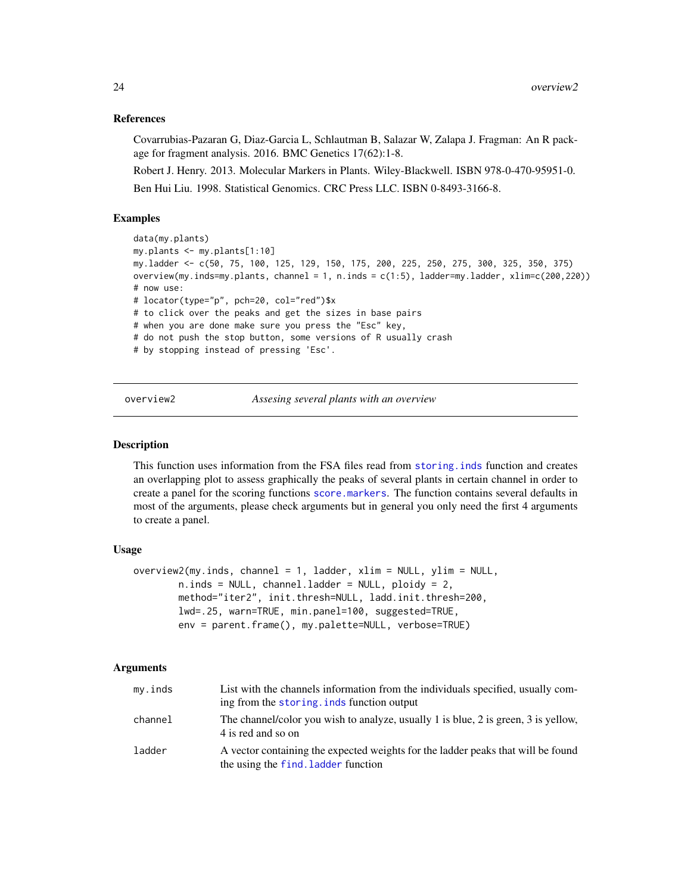## <span id="page-23-0"></span>References

Covarrubias-Pazaran G, Diaz-Garcia L, Schlautman B, Salazar W, Zalapa J. Fragman: An R package for fragment analysis. 2016. BMC Genetics 17(62):1-8.

Robert J. Henry. 2013. Molecular Markers in Plants. Wiley-Blackwell. ISBN 978-0-470-95951-0. Ben Hui Liu. 1998. Statistical Genomics. CRC Press LLC. ISBN 0-8493-3166-8.

## Examples

```
data(my.plants)
my.plants <- my.plants[1:10]
my.ladder <- c(50, 75, 100, 125, 129, 150, 175, 200, 225, 250, 275, 300, 325, 350, 375)
overview(my.inds=my.plants, channel = 1, n.inds = c(1:5), ladder=my.ladder, xlim=c(200,220))
# now use:
# locator(type="p", pch=20, col="red")$x
# to click over the peaks and get the sizes in base pairs
# when you are done make sure you press the "Esc" key,
# do not push the stop button, some versions of R usually crash
# by stopping instead of pressing 'Esc'.
```
<span id="page-23-1"></span>overview2 *Assesing several plants with an overview*

#### Description

This function uses information from the FSA files read from [storing.inds](#page-36-1) function and creates an overlapping plot to assess graphically the peaks of several plants in certain channel in order to create a panel for the scoring functions [score.markers](#page-31-1). The function contains several defaults in most of the arguments, please check arguments but in general you only need the first 4 arguments to create a panel.

#### Usage

```
overview2(my.inds, channel = 1, ladder, xlim = NULL, ylim = NULL,
       n.inds = NULL, channel.ladder = NULL, ploidy = 2,
       method="iter2", init.thresh=NULL, ladd.init.thresh=200,
       lwd=.25, warn=TRUE, min.panel=100, suggested=TRUE,
       env = parent.frame(), my.palette=NULL, verbose=TRUE)
```
#### Arguments

| my.inds | List with the channels information from the individuals specified, usually com-<br>ing from the storing, inds function output |
|---------|-------------------------------------------------------------------------------------------------------------------------------|
| channel | The channel/color you wish to analyze, usually 1 is blue, 2 is green, 3 is yellow,<br>4 is red and so on                      |
| ladder  | A vector containing the expected weights for the ladder peaks that will be found<br>the using the find. Ladder function       |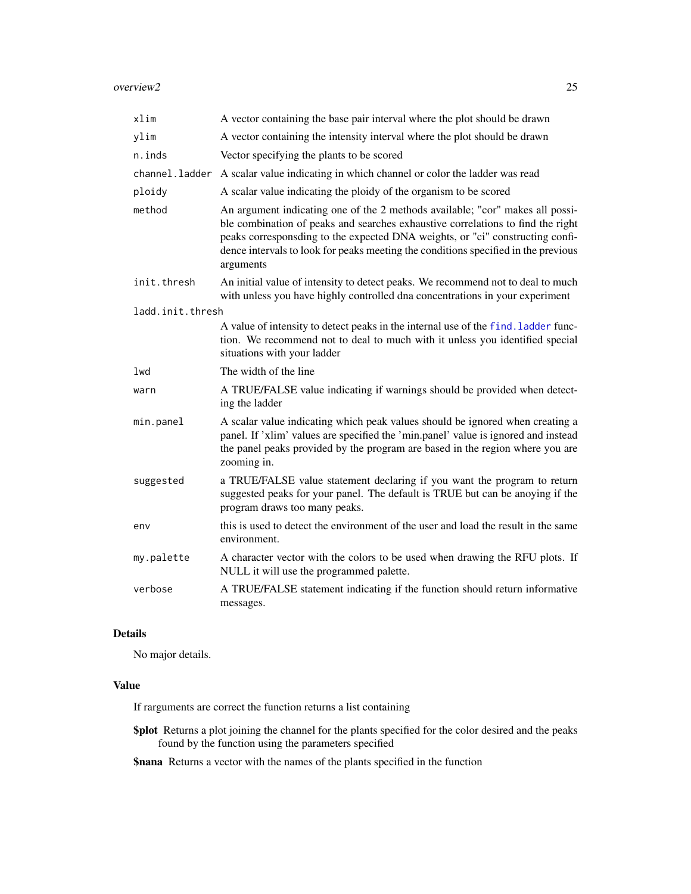<span id="page-24-0"></span>

| xlim             | A vector containing the base pair interval where the plot should be drawn                                                                                                                                                                                                                                                                            |
|------------------|------------------------------------------------------------------------------------------------------------------------------------------------------------------------------------------------------------------------------------------------------------------------------------------------------------------------------------------------------|
| ylim             | A vector containing the intensity interval where the plot should be drawn                                                                                                                                                                                                                                                                            |
| $n.$ inds        | Vector specifying the plants to be scored                                                                                                                                                                                                                                                                                                            |
| channel.ladder   | A scalar value indicating in which channel or color the ladder was read                                                                                                                                                                                                                                                                              |
| ploidy           | A scalar value indicating the ploidy of the organism to be scored                                                                                                                                                                                                                                                                                    |
| method           | An argument indicating one of the 2 methods available; "cor" makes all possi-<br>ble combination of peaks and searches exhaustive correlations to find the right<br>peaks corresponsding to the expected DNA weights, or "ci" constructing confi-<br>dence intervals to look for peaks meeting the conditions specified in the previous<br>arguments |
| init.thresh      | An initial value of intensity to detect peaks. We recommend not to deal to much<br>with unless you have highly controlled dna concentrations in your experiment                                                                                                                                                                                      |
| ladd.init.thresh |                                                                                                                                                                                                                                                                                                                                                      |
|                  | A value of intensity to detect peaks in the internal use of the find. ladder func-<br>tion. We recommend not to deal to much with it unless you identified special<br>situations with your ladder                                                                                                                                                    |
| lwd              | The width of the line                                                                                                                                                                                                                                                                                                                                |
| warn             | A TRUE/FALSE value indicating if warnings should be provided when detect-<br>ing the ladder                                                                                                                                                                                                                                                          |
| min.panel        | A scalar value indicating which peak values should be ignored when creating a<br>panel. If 'xlim' values are specified the 'min.panel' value is ignored and instead<br>the panel peaks provided by the program are based in the region where you are<br>zooming in.                                                                                  |
| suggested        | a TRUE/FALSE value statement declaring if you want the program to return<br>suggested peaks for your panel. The default is TRUE but can be anoying if the<br>program draws too many peaks.                                                                                                                                                           |
| env              | this is used to detect the environment of the user and load the result in the same<br>environment.                                                                                                                                                                                                                                                   |
| my.palette       | A character vector with the colors to be used when drawing the RFU plots. If<br>NULL it will use the programmed palette.                                                                                                                                                                                                                             |
| verbose          | A TRUE/FALSE statement indicating if the function should return informative<br>messages.                                                                                                                                                                                                                                                             |

## Details

No major details.

## Value

If rarguments are correct the function returns a list containing

\$plot Returns a plot joining the channel for the plants specified for the color desired and the peaks found by the function using the parameters specified

\$nana Returns a vector with the names of the plants specified in the function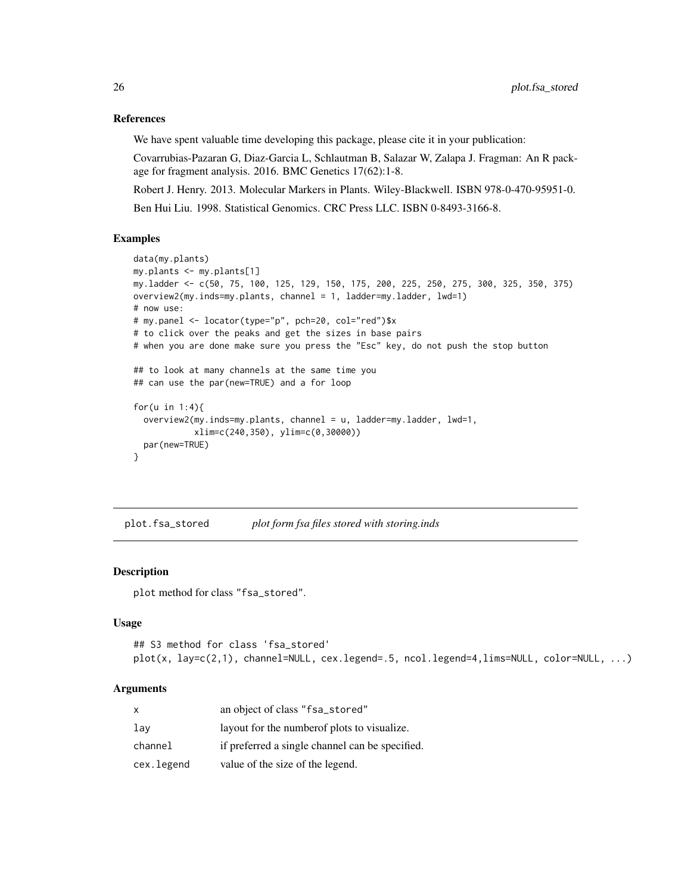#### References

We have spent valuable time developing this package, please cite it in your publication:

Covarrubias-Pazaran G, Diaz-Garcia L, Schlautman B, Salazar W, Zalapa J. Fragman: An R package for fragment analysis. 2016. BMC Genetics 17(62):1-8.

Robert J. Henry. 2013. Molecular Markers in Plants. Wiley-Blackwell. ISBN 978-0-470-95951-0.

Ben Hui Liu. 1998. Statistical Genomics. CRC Press LLC. ISBN 0-8493-3166-8.

#### Examples

```
data(my.plants)
my.plants <- my.plants[1]
my.ladder <- c(50, 75, 100, 125, 129, 150, 175, 200, 225, 250, 275, 300, 325, 350, 375)
overview2(my.inds=my.plants, channel = 1, ladder=my.ladder, lwd=1)
# now use:
# my.panel <- locator(type="p", pch=20, col="red")$x
# to click over the peaks and get the sizes in base pairs
# when you are done make sure you press the "Esc" key, do not push the stop button
## to look at many channels at the same time you
## can use the par(new=TRUE) and a for loop
for(u in 1:4){
  overview2(my.inds=my.plants, channel = u, ladder=my.ladder, lwd=1,
            xlim=c(240,350), ylim=c(0,30000))
  par(new=TRUE)
}
```
plot.fsa\_stored *plot form fsa files stored with storing.inds*

### Description

plot method for class "fsa\_stored".

#### Usage

```
## S3 method for class 'fsa_stored'
plot(x, lay=c(2,1), channel=NULL, cex.legend=.5, ncol.legend=4,lims=NULL, color=NULL, ...)
```
#### Arguments

| x          | an object of class "fsa_stored"                 |
|------------|-------------------------------------------------|
| lav        | layout for the number of plots to visualize.    |
| channel    | if preferred a single channel can be specified. |
| cex.legend | value of the size of the legend.                |

<span id="page-25-0"></span>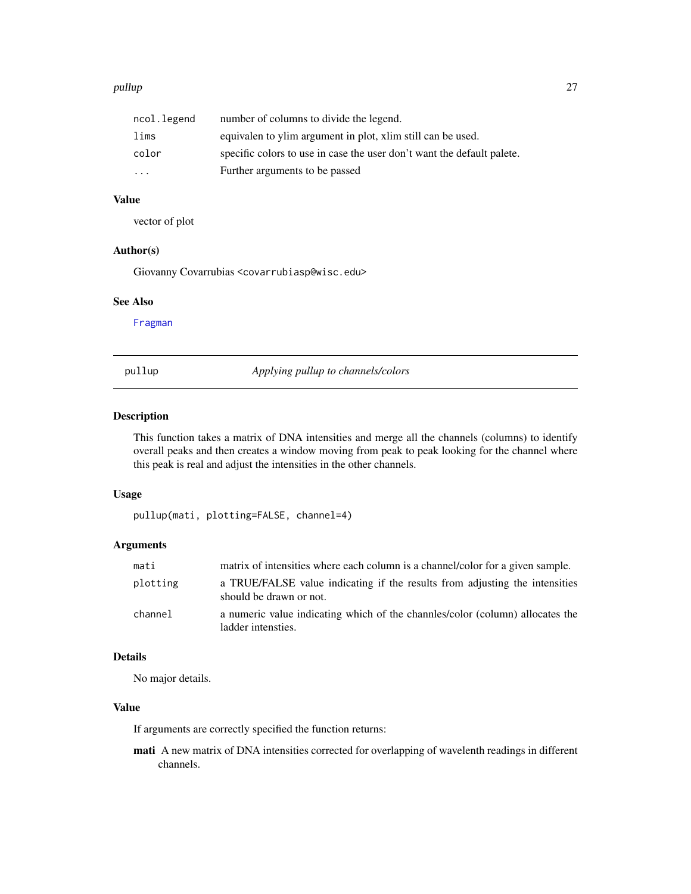#### <span id="page-26-0"></span>pullup 27

| ncol.legend | number of columns to divide the legend.                                |
|-------------|------------------------------------------------------------------------|
| lims        | equivalen to ylim argument in plot, xlim still can be used.            |
| color       | specific colors to use in case the user don't want the default palete. |
| .           | Further arguments to be passed                                         |

## Value

vector of plot

## Author(s)

Giovanny Covarrubias <covarrubiasp@wisc.edu>

#### See Also

[Fragman](#page-1-1)

pullup *Applying pullup to channels/colors*

## Description

This function takes a matrix of DNA intensities and merge all the channels (columns) to identify overall peaks and then creates a window moving from peak to peak looking for the channel where this peak is real and adjust the intensities in the other channels.

#### Usage

pullup(mati, plotting=FALSE, channel=4)

## Arguments

| mati     | matrix of intensities where each column is a channel/color for a given sample.                         |
|----------|--------------------------------------------------------------------------------------------------------|
| plotting | a TRUE/FALSE value indicating if the results from adjusting the intensities<br>should be drawn or not. |
| channel  | a numeric value indicating which of the channels/color (column) allocates the<br>ladder intensties.    |

## Details

No major details.

## Value

If arguments are correctly specified the function returns:

mati A new matrix of DNA intensities corrected for overlapping of wavelenth readings in different channels.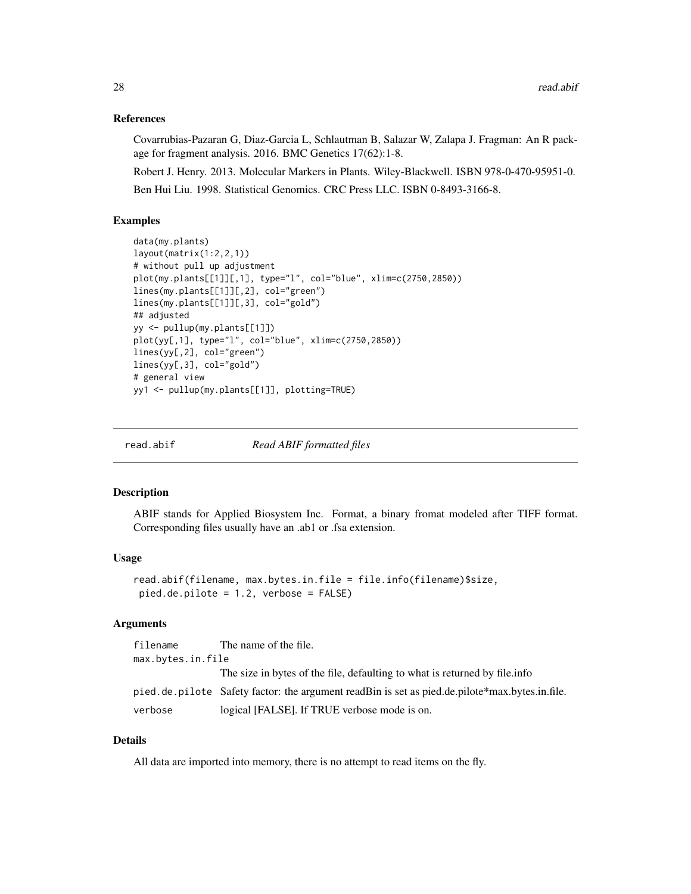#### <span id="page-27-0"></span>References

Covarrubias-Pazaran G, Diaz-Garcia L, Schlautman B, Salazar W, Zalapa J. Fragman: An R package for fragment analysis. 2016. BMC Genetics 17(62):1-8.

Robert J. Henry. 2013. Molecular Markers in Plants. Wiley-Blackwell. ISBN 978-0-470-95951-0.

Ben Hui Liu. 1998. Statistical Genomics. CRC Press LLC. ISBN 0-8493-3166-8.

## Examples

```
data(my.plants)
layout(matrix(1:2,2,1))
# without pull up adjustment
plot(my.plants[[1]][,1], type="l", col="blue", xlim=c(2750,2850))
lines(my.plants[[1]][,2], col="green")
lines(my.plants[[1]][,3], col="gold")
## adjusted
yy <- pullup(my.plants[[1]])
plot(yy[,1], type="l", col="blue", xlim=c(2750,2850))
lines(yy[,2], col="green")
lines(yy[,3], col="gold")
# general view
yy1 <- pullup(my.plants[[1]], plotting=TRUE)
```
read.abif *Read ABIF formatted files*

#### Description

ABIF stands for Applied Biosystem Inc. Format, a binary fromat modeled after TIFF format. Corresponding files usually have an .ab1 or .fsa extension.

## Usage

```
read.abif(filename, max.bytes.in.file = file.info(filename)$size,
pied.de.pilote = 1.2, verbose = FALSE)
```
## Arguments

| filename          | The name of the file.                                                                          |  |
|-------------------|------------------------------------------------------------------------------------------------|--|
| max.bytes.in.file |                                                                                                |  |
|                   | The size in bytes of the file, defaulting to what is returned by file. The                     |  |
|                   | pied.de.pilote Safety factor: the argument readBin is set as pied.de.pilote*max.bytes.in.file. |  |
| verbose           | logical [FALSE]. If TRUE verbose mode is on.                                                   |  |

## Details

All data are imported into memory, there is no attempt to read items on the fly.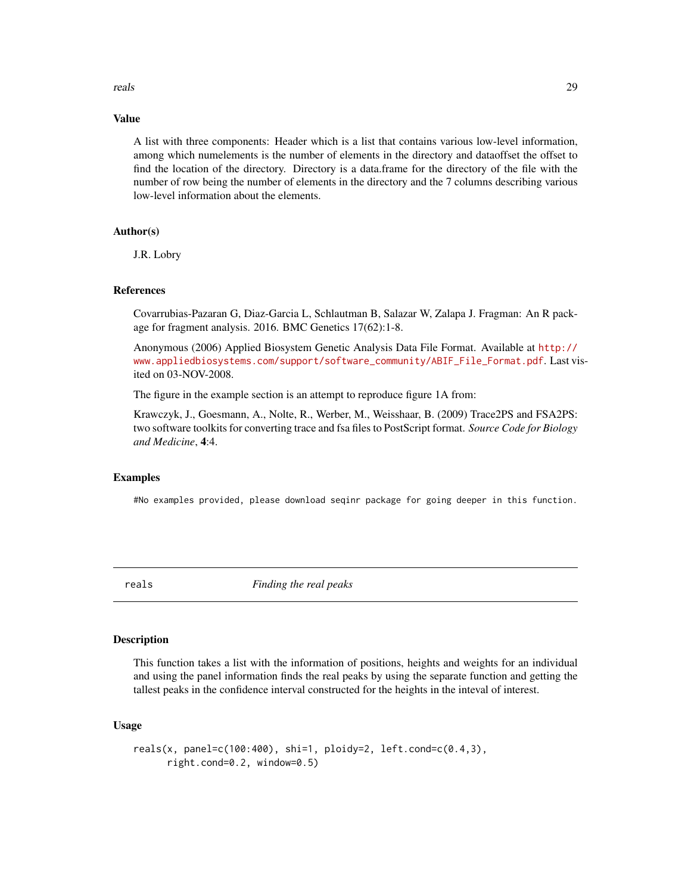#### <span id="page-28-0"></span>reals 29

#### Value

A list with three components: Header which is a list that contains various low-level information, among which numelements is the number of elements in the directory and dataoffset the offset to find the location of the directory. Directory is a data.frame for the directory of the file with the number of row being the number of elements in the directory and the 7 columns describing various low-level information about the elements.

#### Author(s)

J.R. Lobry

#### References

Covarrubias-Pazaran G, Diaz-Garcia L, Schlautman B, Salazar W, Zalapa J. Fragman: An R package for fragment analysis. 2016. BMC Genetics 17(62):1-8.

Anonymous (2006) Applied Biosystem Genetic Analysis Data File Format. Available at [http://](http://www.appliedbiosystems.com/support/software_community/ABIF_File_Format.pdf) [www.appliedbiosystems.com/support/software\\_community/ABIF\\_File\\_Format.pdf](http://www.appliedbiosystems.com/support/software_community/ABIF_File_Format.pdf). Last visited on 03-NOV-2008.

The figure in the example section is an attempt to reproduce figure 1A from:

Krawczyk, J., Goesmann, A., Nolte, R., Werber, M., Weisshaar, B. (2009) Trace2PS and FSA2PS: two software toolkits for converting trace and fsa files to PostScript format. *Source Code for Biology and Medicine*, 4:4.

#### Examples

#No examples provided, please download seqinr package for going deeper in this function.

reals *Finding the real peaks*

#### Description

This function takes a list with the information of positions, heights and weights for an individual and using the panel information finds the real peaks by using the separate function and getting the tallest peaks in the confidence interval constructed for the heights in the inteval of interest.

#### Usage

```
reals(x, panel=c(100:400), shi=1, ploidy=2, left.cond=c(0.4,3),
     right.cond=0.2, window=0.5)
```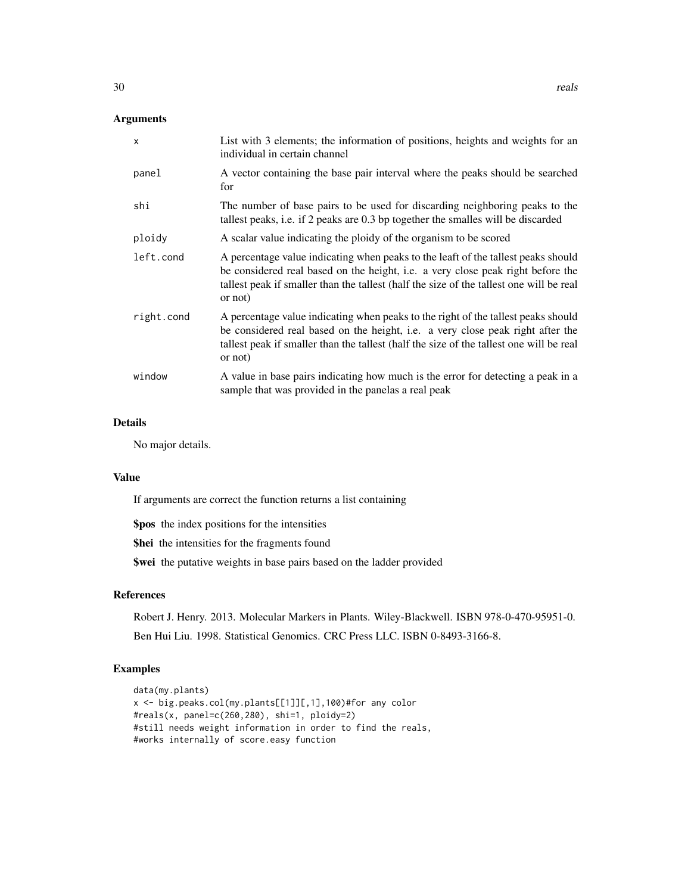## Arguments

| $\mathsf{x}$ | List with 3 elements; the information of positions, heights and weights for an<br>individual in certain channel                                                                                                                                                            |
|--------------|----------------------------------------------------------------------------------------------------------------------------------------------------------------------------------------------------------------------------------------------------------------------------|
| panel        | A vector containing the base pair interval where the peaks should be searched<br>for                                                                                                                                                                                       |
| shi          | The number of base pairs to be used for discarding neighboring peaks to the<br>tallest peaks, i.e. if 2 peaks are 0.3 bp together the smalles will be discarded                                                                                                            |
| ploidy       | A scalar value indicating the ploidy of the organism to be scored                                                                                                                                                                                                          |
| left.cond    | A percentage value indicating when peaks to the leaft of the tallest peaks should<br>be considered real based on the height, i.e. a very close peak right before the<br>tallest peak if smaller than the tallest (half the size of the tallest one will be real<br>or not) |
| right.cond   | A percentage value indicating when peaks to the right of the tallest peaks should<br>be considered real based on the height, i.e. a very close peak right after the<br>tallest peak if smaller than the tallest (half the size of the tallest one will be real<br>or not)  |
| window       | A value in base pairs indicating how much is the error for detecting a peak in a<br>sample that was provided in the panelas a real peak                                                                                                                                    |
|              |                                                                                                                                                                                                                                                                            |

## Details

No major details.

## Value

If arguments are correct the function returns a list containing

\$pos the index positions for the intensities \$hei the intensities for the fragments found \$wei the putative weights in base pairs based on the ladder provided

## References

Robert J. Henry. 2013. Molecular Markers in Plants. Wiley-Blackwell. ISBN 978-0-470-95951-0. Ben Hui Liu. 1998. Statistical Genomics. CRC Press LLC. ISBN 0-8493-3166-8.

## Examples

```
data(my.plants)
x <- big.peaks.col(my.plants[[1]][,1],100)#for any color
#reals(x, panel=c(260,280), shi=1, ploidy=2)
#still needs weight information in order to find the reals,
#works internally of score.easy function
```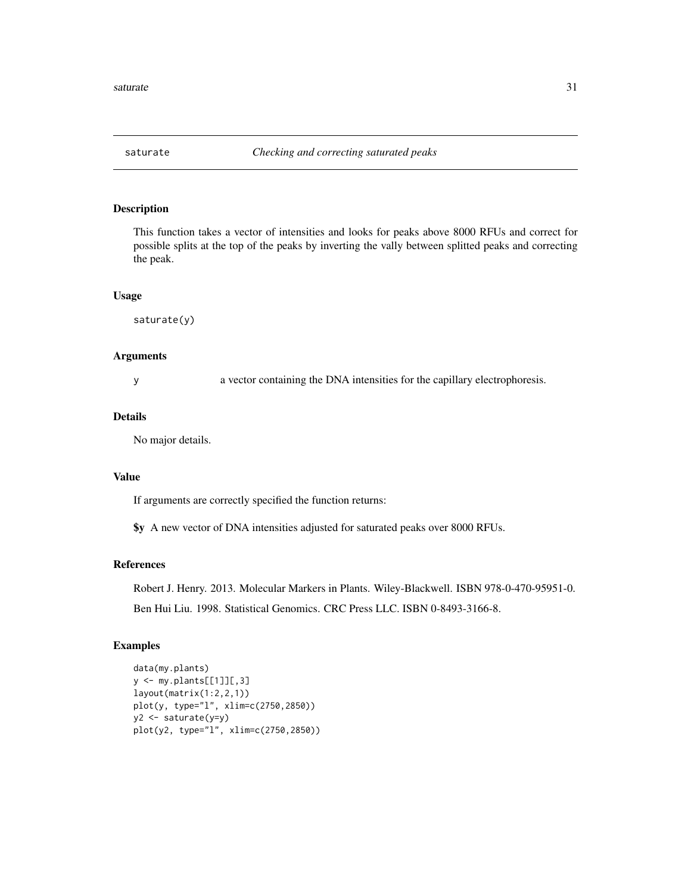<span id="page-30-0"></span>

#### Description

This function takes a vector of intensities and looks for peaks above 8000 RFUs and correct for possible splits at the top of the peaks by inverting the vally between splitted peaks and correcting the peak.

#### Usage

saturate(y)

#### Arguments

y a vector containing the DNA intensities for the capillary electrophoresis.

## Details

No major details.

## Value

If arguments are correctly specified the function returns:

\$y A new vector of DNA intensities adjusted for saturated peaks over 8000 RFUs.

## References

Robert J. Henry. 2013. Molecular Markers in Plants. Wiley-Blackwell. ISBN 978-0-470-95951-0. Ben Hui Liu. 1998. Statistical Genomics. CRC Press LLC. ISBN 0-8493-3166-8.

#### Examples

```
data(my.plants)
y <- my.plants[[1]][,3]
layout(matrix(1:2,2,1))
plot(y, type="l", xlim=c(2750,2850))
y2 <- saturate(y=y)
plot(y2, type="l", xlim=c(2750,2850))
```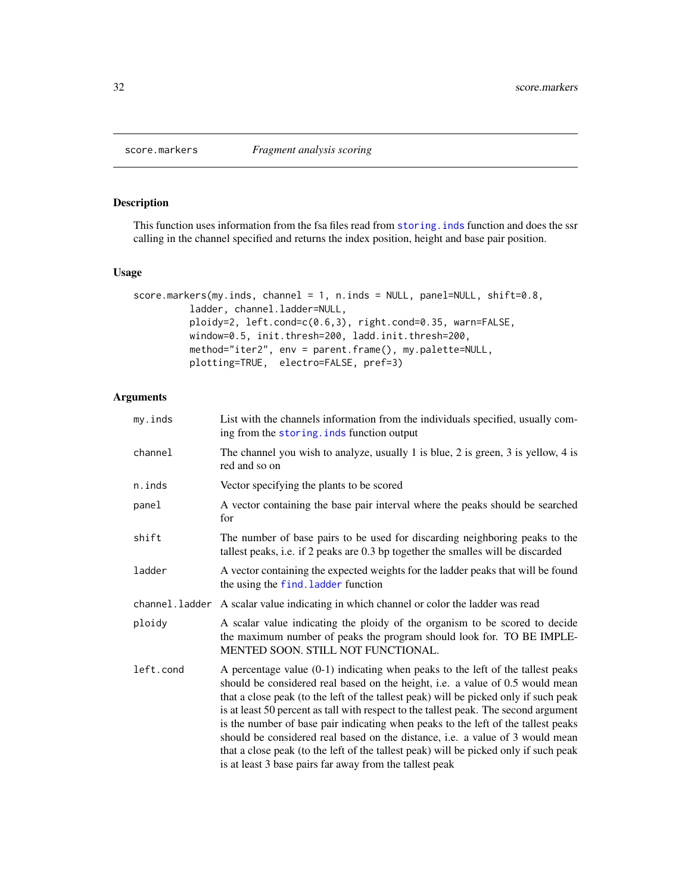## Description

This function uses information from the fsa files read from [storing.inds](#page-36-1) function and does the ssr calling in the channel specified and returns the index position, height and base pair position.

## Usage

```
score.markers(my.inds, channel = 1, n.inds = NULL, panel=NULL, shift=0.8,
          ladder, channel.ladder=NULL,
          ploidy=2, left.cond=c(0.6,3), right.cond=0.35, warn=FALSE,
          window=0.5, init.thresh=200, ladd.init.thresh=200,
          method="iter2", env = parent.frame(), my.palette=NULL,
          plotting=TRUE, electro=FALSE, pref=3)
```
## Arguments

| my.inds   | List with the channels information from the individuals specified, usually com-<br>ing from the storing. inds function output                                                                                                                                                                                                                                                                                                                                                                                                                                                                                                                                               |
|-----------|-----------------------------------------------------------------------------------------------------------------------------------------------------------------------------------------------------------------------------------------------------------------------------------------------------------------------------------------------------------------------------------------------------------------------------------------------------------------------------------------------------------------------------------------------------------------------------------------------------------------------------------------------------------------------------|
| channel   | The channel you wish to analyze, usually 1 is blue, 2 is green, 3 is yellow, 4 is<br>red and so on                                                                                                                                                                                                                                                                                                                                                                                                                                                                                                                                                                          |
| n.inds    | Vector specifying the plants to be scored                                                                                                                                                                                                                                                                                                                                                                                                                                                                                                                                                                                                                                   |
| panel     | A vector containing the base pair interval where the peaks should be searched<br>for                                                                                                                                                                                                                                                                                                                                                                                                                                                                                                                                                                                        |
| shift     | The number of base pairs to be used for discarding neighboring peaks to the<br>tallest peaks, i.e. if 2 peaks are 0.3 bp together the smalles will be discarded                                                                                                                                                                                                                                                                                                                                                                                                                                                                                                             |
| ladder    | A vector containing the expected weights for the ladder peaks that will be found<br>the using the find. ladder function                                                                                                                                                                                                                                                                                                                                                                                                                                                                                                                                                     |
|           | channel. ladder A scalar value indicating in which channel or color the ladder was read                                                                                                                                                                                                                                                                                                                                                                                                                                                                                                                                                                                     |
| ploidy    | A scalar value indicating the ploidy of the organism to be scored to decide<br>the maximum number of peaks the program should look for. TO BE IMPLE-<br>MENTED SOON. STILL NOT FUNCTIONAL.                                                                                                                                                                                                                                                                                                                                                                                                                                                                                  |
| left.cond | A percentage value $(0-1)$ indicating when peaks to the left of the tallest peaks<br>should be considered real based on the height, i.e. a value of 0.5 would mean<br>that a close peak (to the left of the tallest peak) will be picked only if such peak<br>is at least 50 percent as tall with respect to the tallest peak. The second argument<br>is the number of base pair indicating when peaks to the left of the tallest peaks<br>should be considered real based on the distance, i.e. a value of 3 would mean<br>that a close peak (to the left of the tallest peak) will be picked only if such peak<br>is at least 3 base pairs far away from the tallest peak |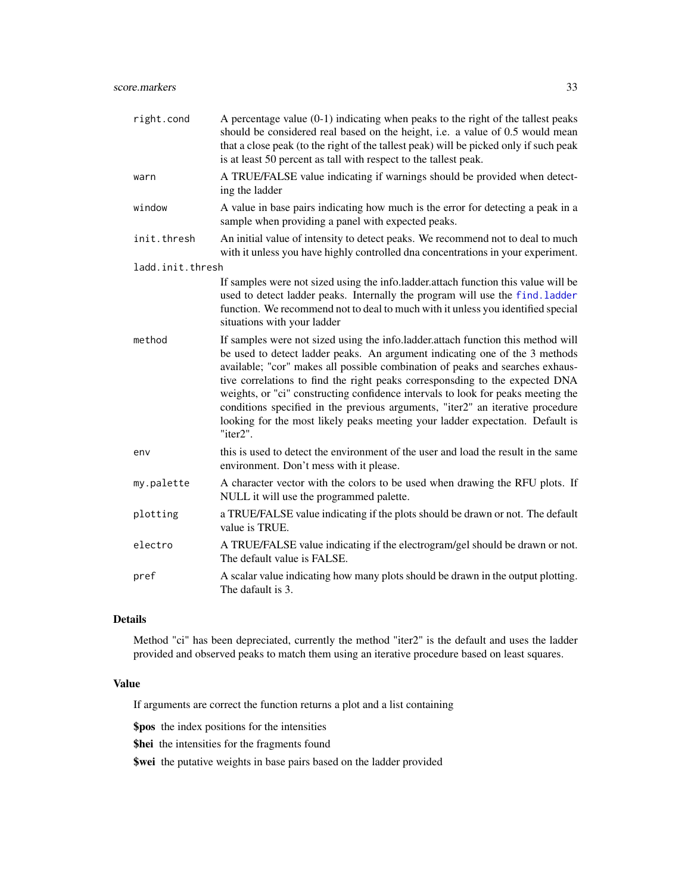<span id="page-32-0"></span>

| A percentage value $(0-1)$ indicating when peaks to the right of the tallest peaks<br>should be considered real based on the height, i.e. a value of 0.5 would mean<br>that a close peak (to the right of the tallest peak) will be picked only if such peak<br>is at least 50 percent as tall with respect to the tallest peak.                                                                                                                                                                                                                                                                    |
|-----------------------------------------------------------------------------------------------------------------------------------------------------------------------------------------------------------------------------------------------------------------------------------------------------------------------------------------------------------------------------------------------------------------------------------------------------------------------------------------------------------------------------------------------------------------------------------------------------|
| A TRUE/FALSE value indicating if warnings should be provided when detect-<br>ing the ladder                                                                                                                                                                                                                                                                                                                                                                                                                                                                                                         |
| A value in base pairs indicating how much is the error for detecting a peak in a<br>sample when providing a panel with expected peaks.                                                                                                                                                                                                                                                                                                                                                                                                                                                              |
| An initial value of intensity to detect peaks. We recommend not to deal to much<br>with it unless you have highly controlled dna concentrations in your experiment.                                                                                                                                                                                                                                                                                                                                                                                                                                 |
| ladd.init.thresh                                                                                                                                                                                                                                                                                                                                                                                                                                                                                                                                                                                    |
| If samples were not sized using the info.ladder.attach function this value will be<br>used to detect ladder peaks. Internally the program will use the find. ladder<br>function. We recommend not to deal to much with it unless you identified special<br>situations with your ladder                                                                                                                                                                                                                                                                                                              |
| If samples were not sized using the info.ladder.attach function this method will<br>be used to detect ladder peaks. An argument indicating one of the 3 methods<br>available; "cor" makes all possible combination of peaks and searches exhaus-<br>tive correlations to find the right peaks corresponsding to the expected DNA<br>weights, or "ci" constructing confidence intervals to look for peaks meeting the<br>conditions specified in the previous arguments, "iter2" an iterative procedure<br>looking for the most likely peaks meeting your ladder expectation. Default is<br>"iter2". |
| this is used to detect the environment of the user and load the result in the same<br>environment. Don't mess with it please.                                                                                                                                                                                                                                                                                                                                                                                                                                                                       |
| A character vector with the colors to be used when drawing the RFU plots. If<br>NULL it will use the programmed palette.                                                                                                                                                                                                                                                                                                                                                                                                                                                                            |
| a TRUE/FALSE value indicating if the plots should be drawn or not. The default<br>value is TRUE.                                                                                                                                                                                                                                                                                                                                                                                                                                                                                                    |
| A TRUE/FALSE value indicating if the electrogram/gel should be drawn or not.<br>The default value is FALSE.                                                                                                                                                                                                                                                                                                                                                                                                                                                                                         |
| A scalar value indicating how many plots should be drawn in the output plotting.<br>The dafault is 3.                                                                                                                                                                                                                                                                                                                                                                                                                                                                                               |
|                                                                                                                                                                                                                                                                                                                                                                                                                                                                                                                                                                                                     |

## Details

Method "ci" has been depreciated, currently the method "iter2" is the default and uses the ladder provided and observed peaks to match them using an iterative procedure based on least squares.

### Value

If arguments are correct the function returns a plot and a list containing

\$pos the index positions for the intensities

\$hei the intensities for the fragments found

\$wei the putative weights in base pairs based on the ladder provided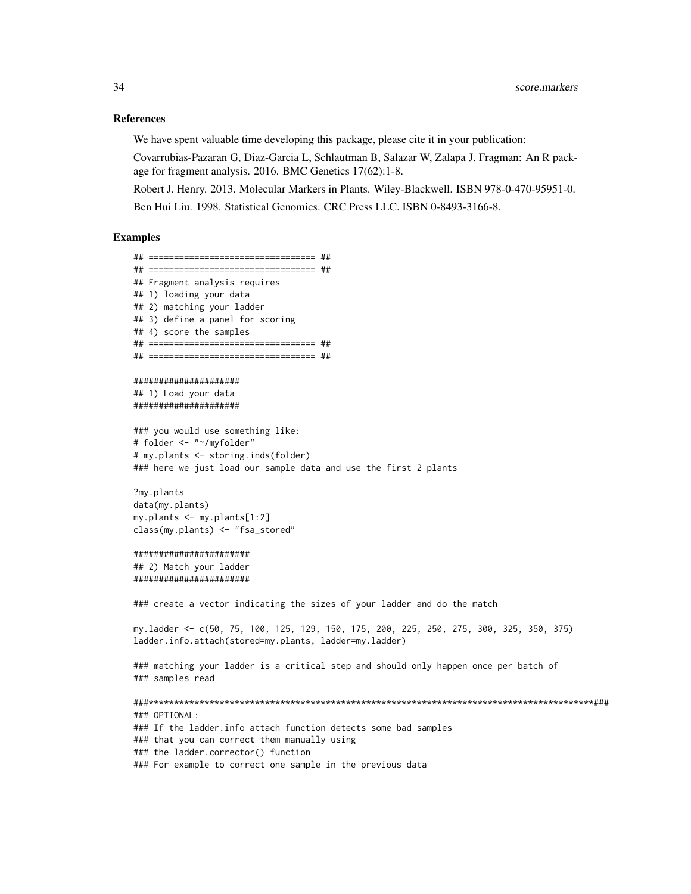#### References

We have spent valuable time developing this package, please cite it in your publication:

Covarrubias-Pazaran G, Diaz-Garcia L, Schlautman B, Salazar W, Zalapa J. Fragman: An R package for fragment analysis. 2016. BMC Genetics 17(62):1-8.

Robert J. Henry. 2013. Molecular Markers in Plants. Wiley-Blackwell. ISBN 978-0-470-95951-0. Ben Hui Liu. 1998. Statistical Genomics. CRC Press LLC. ISBN 0-8493-3166-8.

#### Examples

## ================================= ## ## ================================= ## ## Fragment analysis requires ## 1) loading your data ## 2) matching your ladder ## 3) define a panel for scoring ## 4) score the samples ## ================================= ## ## ================================= ##

##################### ## 1) Load your data #####################

### you would use something like: # folder <- "~/myfolder" # my.plants <- storing.inds(folder) ### here we just load our sample data and use the first 2 plants

?my.plants data(my.plants) my.plants <- my.plants[1:2] class(my.plants) <- "fsa\_stored"

#### #######################

## 2) Match your ladder #######################

### create a vector indicating the sizes of your ladder and do the match

my.ladder <- c(50, 75, 100, 125, 129, 150, 175, 200, 225, 250, 275, 300, 325, 350, 375) ladder.info.attach(stored=my.plants, ladder=my.ladder)

### matching your ladder is a critical step and should only happen once per batch of ### samples read

###\*\*\*\*\*\*\*\*\*\*\*\*\*\*\*\*\*\*\*\*\*\*\*\*\*\*\*\*\*\*\*\*\*\*\*\*\*\*\*\*\*\*\*\*\*\*\*\*\*\*\*\*\*\*\*\*\*\*\*\*\*\*\*\*\*\*\*\*\*\*\*\*\*\*\*\*\*\*\*\*\*\*\*\*\*\*\*\*### ### OPTIONAL: ### If the ladder.info attach function detects some bad samples ### that you can correct them manually using ### the ladder.corrector() function ### For example to correct one sample in the previous data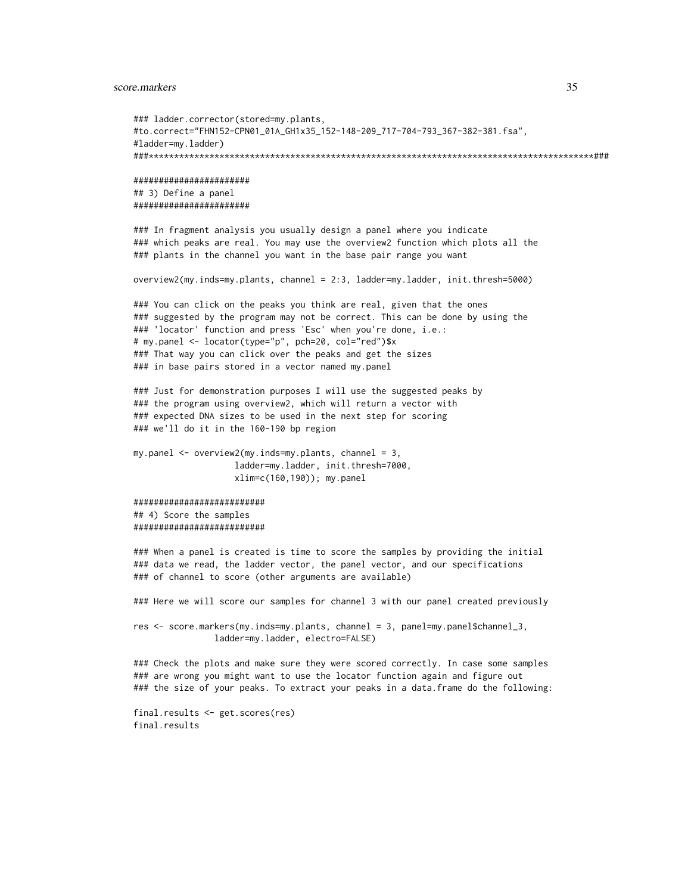score.markers 35

```
### ladder.corrector(stored=my.plants,
#to.correct="FHN152-CPN01_01A_GH1x35_152-148-209_717-704-793_367-382-381.fsa",
#ladder=my.ladder)
###****************************************************************************************###
#######################
## 3) Define a panel
#######################
### In fragment analysis you usually design a panel where you indicate
### which peaks are real. You may use the overview2 function which plots all the
### plants in the channel you want in the base pair range you want
overview2(my.inds=my.plants, channel = 2:3, ladder=my.ladder, init.thresh=5000)
### You can click on the peaks you think are real, given that the ones
### suggested by the program may not be correct. This can be done by using the
### 'locator' function and press 'Esc' when you're done, i.e.:
# my.panel <- locator(type="p", pch=20, col="red")$x
### That way you can click over the peaks and get the sizes
### in base pairs stored in a vector named my.panel
### Just for demonstration purposes I will use the suggested peaks by
### the program using overview2, which will return a vector with
### expected DNA sizes to be used in the next step for scoring
### we'll do it in the 160-190 bp region
my.panel \leq overview2(my.index=my.plants, channel = 3,ladder=my.ladder, init.thresh=7000,
                    xlim=c(160,190)); my.panel
##########################
## 4) Score the samples
##########################
### When a panel is created is time to score the samples by providing the initial
### data we read, the ladder vector, the panel vector, and our specifications
### of channel to score (other arguments are available)
### Here we will score our samples for channel 3 with our panel created previously
res <- score.markers(my.inds=my.plants, channel = 3, panel=my.panel$channel_3,
                ladder=my.ladder, electro=FALSE)
### Check the plots and make sure they were scored correctly. In case some samples
### are wrong you might want to use the locator function again and figure out
### the size of your peaks. To extract your peaks in a data.frame do the following:
final.results <- get.scores(res)
final.results
```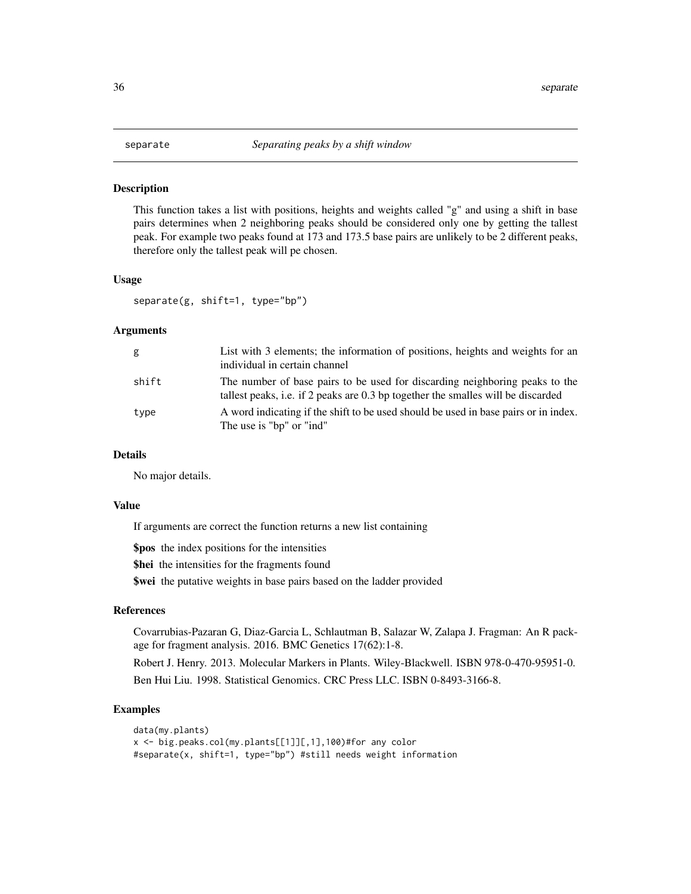#### <span id="page-35-0"></span>**Description**

This function takes a list with positions, heights and weights called "g" and using a shift in base pairs determines when 2 neighboring peaks should be considered only one by getting the tallest peak. For example two peaks found at 173 and 173.5 base pairs are unlikely to be 2 different peaks, therefore only the tallest peak will pe chosen.

#### Usage

separate(g, shift=1, type="bp")

#### Arguments

| g     | List with 3 elements; the information of positions, heights and weights for an<br>individual in certain channel                                                 |
|-------|-----------------------------------------------------------------------------------------------------------------------------------------------------------------|
| shift | The number of base pairs to be used for discarding neighboring peaks to the<br>tallest peaks, i.e. if 2 peaks are 0.3 bp together the smalles will be discarded |
| type  | A word indicating if the shift to be used should be used in base pairs or in index.<br>The use is "bp" or "ind"                                                 |

#### Details

No major details.

## Value

If arguments are correct the function returns a new list containing

\$pos the index positions for the intensities

\$hei the intensities for the fragments found

\$wei the putative weights in base pairs based on the ladder provided

#### References

Covarrubias-Pazaran G, Diaz-Garcia L, Schlautman B, Salazar W, Zalapa J. Fragman: An R package for fragment analysis. 2016. BMC Genetics 17(62):1-8.

Robert J. Henry. 2013. Molecular Markers in Plants. Wiley-Blackwell. ISBN 978-0-470-95951-0.

Ben Hui Liu. 1998. Statistical Genomics. CRC Press LLC. ISBN 0-8493-3166-8.

#### Examples

```
data(my.plants)
x <- big.peaks.col(my.plants[[1]][,1],100)#for any color
#separate(x, shift=1, type="bp") #still needs weight information
```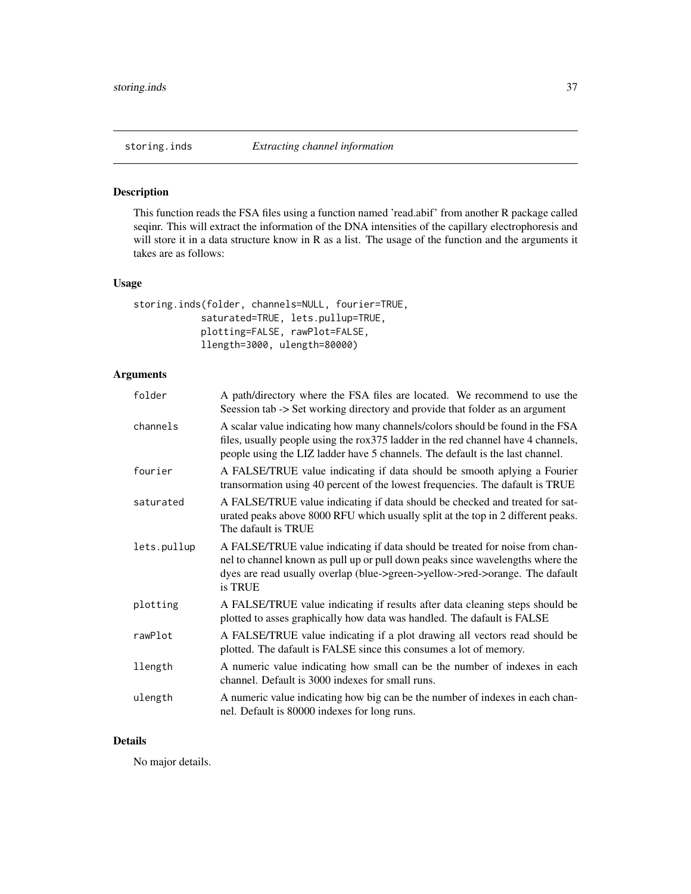<span id="page-36-1"></span><span id="page-36-0"></span>

## Description

This function reads the FSA files using a function named 'read.abif' from another R package called seqinr. This will extract the information of the DNA intensities of the capillary electrophoresis and will store it in a data structure know in R as a list. The usage of the function and the arguments it takes are as follows:

#### Usage

```
storing.inds(folder, channels=NULL, fourier=TRUE,
            saturated=TRUE, lets.pullup=TRUE,
            plotting=FALSE, rawPlot=FALSE,
            llength=3000, ulength=80000)
```
## Arguments

| folder      | A path/directory where the FSA files are located. We recommend to use the<br>Seession tab -> Set working directory and provide that folder as an argument                                                                                                 |
|-------------|-----------------------------------------------------------------------------------------------------------------------------------------------------------------------------------------------------------------------------------------------------------|
| channels    | A scalar value indicating how many channels/colors should be found in the FSA<br>files, usually people using the rox 375 ladder in the red channel have 4 channels,<br>people using the LIZ ladder have 5 channels. The default is the last channel.      |
| fourier     | A FALSE/TRUE value indicating if data should be smooth aplying a Fourier<br>transormation using 40 percent of the lowest frequencies. The dafault is TRUE                                                                                                 |
| saturated   | A FALSE/TRUE value indicating if data should be checked and treated for sat-<br>urated peaks above 8000 RFU which usually split at the top in 2 different peaks.<br>The dafault is TRUE                                                                   |
| lets.pullup | A FALSE/TRUE value indicating if data should be treated for noise from chan-<br>nel to channel known as pull up or pull down peaks since wavelengths where the<br>dyes are read usually overlap (blue->green->yellow->red->orange. The dafault<br>is TRUE |
| plotting    | A FALSE/TRUE value indicating if results after data cleaning steps should be<br>plotted to asses graphically how data was handled. The dafault is FALSE                                                                                                   |
| rawPlot     | A FALSE/TRUE value indicating if a plot drawing all vectors read should be<br>plotted. The dafault is FALSE since this consumes a lot of memory.                                                                                                          |
| llength     | A numeric value indicating how small can be the number of indexes in each<br>channel. Default is 3000 indexes for small runs.                                                                                                                             |
| ulength     | A numeric value indicating how big can be the number of indexes in each chan-<br>nel. Default is 80000 indexes for long runs.                                                                                                                             |

## Details

No major details.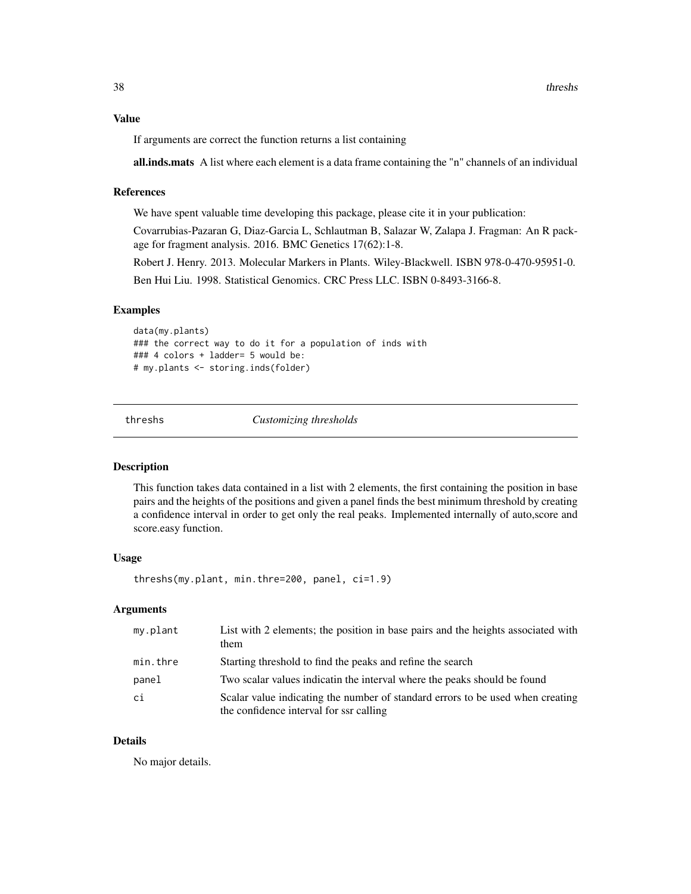<span id="page-37-0"></span>If arguments are correct the function returns a list containing

all.inds.mats A list where each element is a data frame containing the "n" channels of an individual

## References

We have spent valuable time developing this package, please cite it in your publication:

Covarrubias-Pazaran G, Diaz-Garcia L, Schlautman B, Salazar W, Zalapa J. Fragman: An R package for fragment analysis. 2016. BMC Genetics 17(62):1-8.

Robert J. Henry. 2013. Molecular Markers in Plants. Wiley-Blackwell. ISBN 978-0-470-95951-0.

Ben Hui Liu. 1998. Statistical Genomics. CRC Press LLC. ISBN 0-8493-3166-8.

#### Examples

```
data(my.plants)
### the correct way to do it for a population of inds with
### 4 colors + ladder= 5 would be:
# my.plants <- storing.inds(folder)
```
threshs *Customizing thresholds*

#### Description

This function takes data contained in a list with 2 elements, the first containing the position in base pairs and the heights of the positions and given a panel finds the best minimum threshold by creating a confidence interval in order to get only the real peaks. Implemented internally of auto,score and score.easy function.

## Usage

threshs(my.plant, min.thre=200, panel, ci=1.9)

#### Arguments

| my.plant | List with 2 elements; the position in base pairs and the heights associated with<br>them                                  |  |
|----------|---------------------------------------------------------------------------------------------------------------------------|--|
| min.thre | Starting threshold to find the peaks and refine the search                                                                |  |
| panel    | Two scalar values indicatin the interval where the peaks should be found                                                  |  |
| ci       | Scalar value indicating the number of standard errors to be used when creating<br>the confidence interval for ssr calling |  |

## Details

No major details.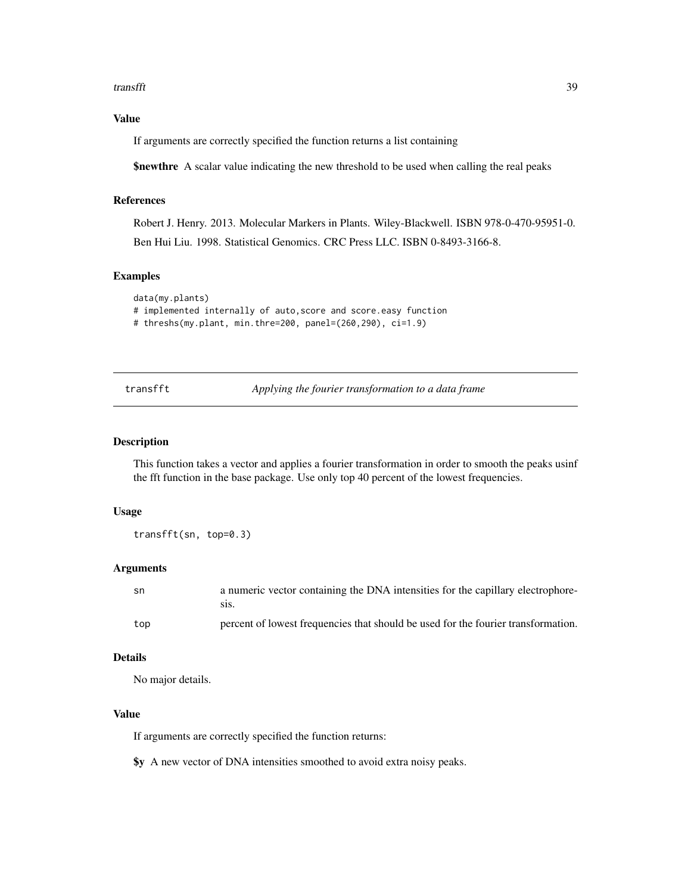#### <span id="page-38-0"></span>transfft 39

## Value

If arguments are correctly specified the function returns a list containing

\$newthre A scalar value indicating the new threshold to be used when calling the real peaks

## References

Robert J. Henry. 2013. Molecular Markers in Plants. Wiley-Blackwell. ISBN 978-0-470-95951-0. Ben Hui Liu. 1998. Statistical Genomics. CRC Press LLC. ISBN 0-8493-3166-8.

#### Examples

```
data(my.plants)
# implemented internally of auto,score and score.easy function
# threshs(my.plant, min.thre=200, panel=(260,290), ci=1.9)
```
transfft *Applying the fourier transformation to a data frame*

#### Description

This function takes a vector and applies a fourier transformation in order to smooth the peaks usinf the fft function in the base package. Use only top 40 percent of the lowest frequencies.

#### Usage

transfft(sn, top=0.3)

#### **Arguments**

| sn  | a numeric vector containing the DNA intensities for the capillary electrophore-<br>S1S. |
|-----|-----------------------------------------------------------------------------------------|
| top | percent of lowest frequencies that should be used for the fourier transformation.       |

## Details

No major details.

## Value

If arguments are correctly specified the function returns:

\$y A new vector of DNA intensities smoothed to avoid extra noisy peaks.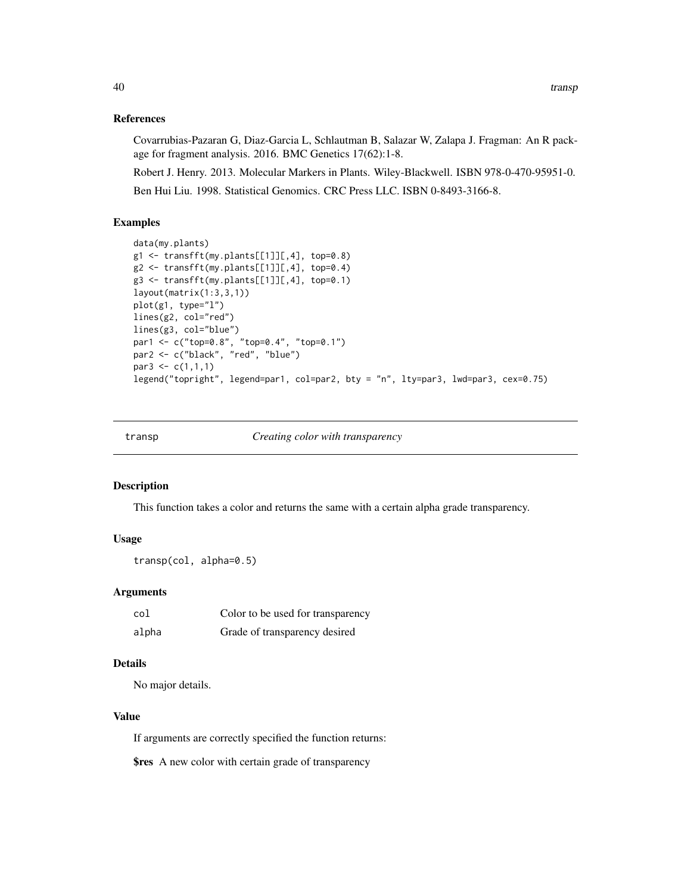#### <span id="page-39-0"></span>References

Covarrubias-Pazaran G, Diaz-Garcia L, Schlautman B, Salazar W, Zalapa J. Fragman: An R package for fragment analysis. 2016. BMC Genetics 17(62):1-8.

Robert J. Henry. 2013. Molecular Markers in Plants. Wiley-Blackwell. ISBN 978-0-470-95951-0. Ben Hui Liu. 1998. Statistical Genomics. CRC Press LLC. ISBN 0-8493-3166-8.

## Examples

```
data(my.plants)
g1 <- transfft(my.plants[[1]][,4], top=0.8)
g2 \leftarrow transfft(my.plants[[1]][,4], top=0.4)
g3 <- transfft(my.plants[[1]][,4], top=0.1)
layout(matrix(1:3,3,1))
plot(g1, type="l")
lines(g2, col="red")
lines(g3, col="blue")
par1 <- c("top=0.8", "top=0.4", "top=0.1")
par2 <- c("black", "red", "blue")
par3 <- c(1,1,1)legend("topright", legend=par1, col=par2, bty = "n", lty=par3, lwd=par3, cex=0.75)
```
transp *Creating color with transparency*

#### Description

This function takes a color and returns the same with a certain alpha grade transparency.

#### Usage

transp(col, alpha=0.5)

#### Arguments

| col   | Color to be used for transparency |
|-------|-----------------------------------|
| alpha | Grade of transparency desired     |

## Details

No major details.

## Value

If arguments are correctly specified the function returns:

**\$res** A new color with certain grade of transparency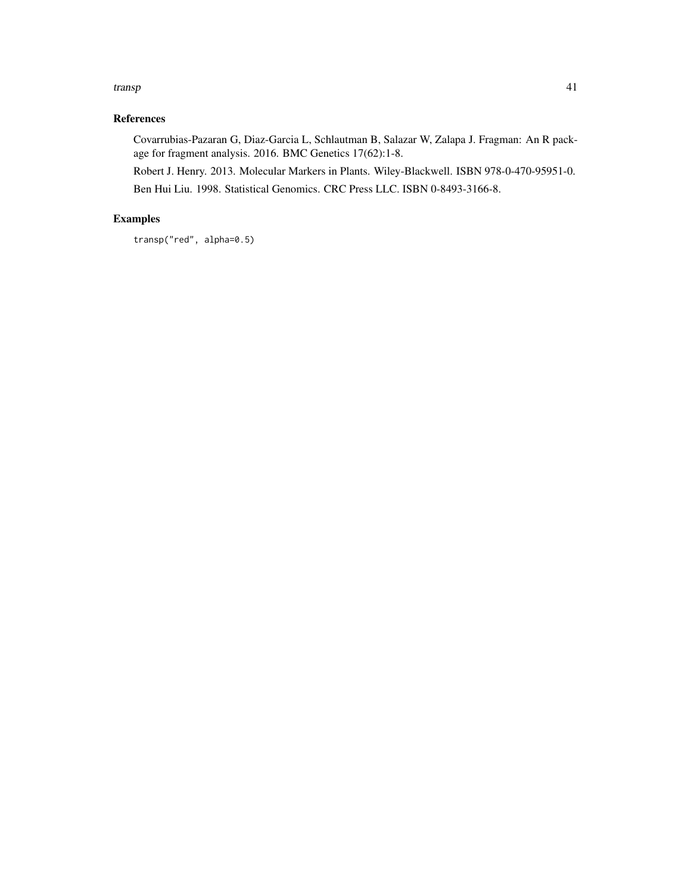#### transp and the set of the set of the set of the set of the set of the set of the set of the set of the set of the set of the set of the set of the set of the set of the set of the set of the set of the set of the set of th

## References

Covarrubias-Pazaran G, Diaz-Garcia L, Schlautman B, Salazar W, Zalapa J. Fragman: An R package for fragment analysis. 2016. BMC Genetics 17(62):1-8.

Robert J. Henry. 2013. Molecular Markers in Plants. Wiley-Blackwell. ISBN 978-0-470-95951-0. Ben Hui Liu. 1998. Statistical Genomics. CRC Press LLC. ISBN 0-8493-3166-8.

## Examples

transp("red", alpha=0.5)